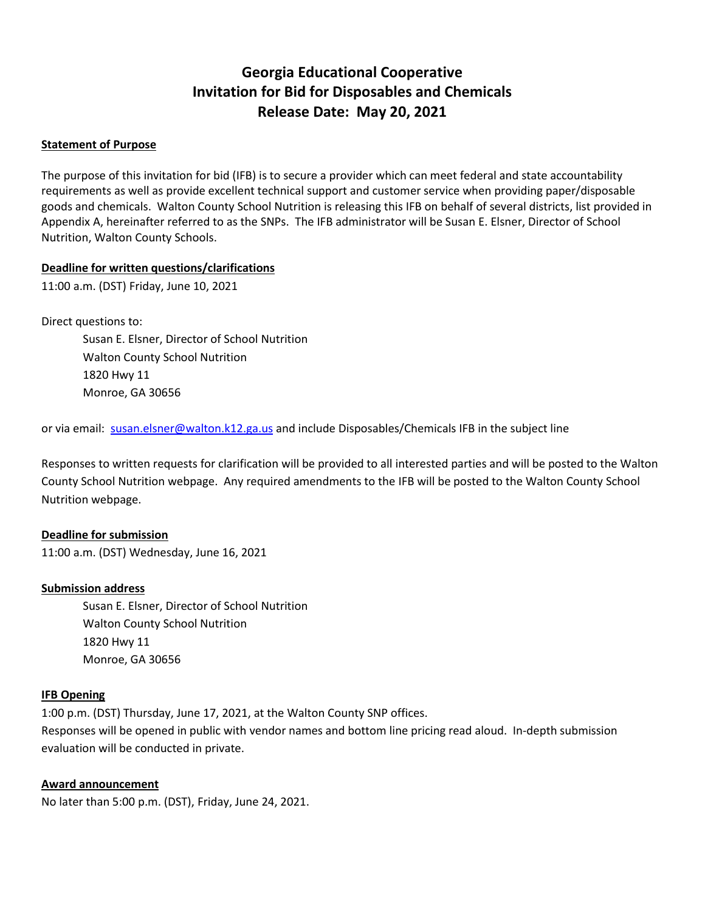## **Georgia Educational Cooperative Invitation for Bid for Disposables and Chemicals Release Date: May 20, 2021**

### **Statement of Purpose**

The purpose of this invitation for bid (IFB) is to secure a provider which can meet federal and state accountability requirements as well as provide excellent technical support and customer service when providing paper/disposable goods and chemicals. Walton County School Nutrition is releasing this IFB on behalf of several districts, list provided in Appendix A, hereinafter referred to as the SNPs. The IFB administrator will be Susan E. Elsner, Director of School Nutrition, Walton County Schools.

#### **Deadline for written questions/clarifications**

11:00 a.m. (DST) Friday, June 10, 2021

Direct questions to:

Susan E. Elsner, Director of School Nutrition Walton County School Nutrition 1820 Hwy 11 Monroe, GA 30656

or via email: [susan.elsner@walton.k12.ga.us](mailto:susan.elsner@walton.k12.ga.us) and include Disposables/Chemicals IFB in the subject line

Responses to written requests for clarification will be provided to all interested parties and will be posted to the Walton County School Nutrition webpage. Any required amendments to the IFB will be posted to the Walton County School Nutrition webpage.

#### **Deadline for submission**

11:00 a.m. (DST) Wednesday, June 16, 2021

#### **Submission address**

Susan E. Elsner, Director of School Nutrition Walton County School Nutrition 1820 Hwy 11 Monroe, GA 30656

#### **IFB Opening**

1:00 p.m. (DST) Thursday, June 17, 2021, at the Walton County SNP offices. Responses will be opened in public with vendor names and bottom line pricing read aloud. In-depth submission evaluation will be conducted in private.

#### **Award announcement**

No later than 5:00 p.m. (DST), Friday, June 24, 2021.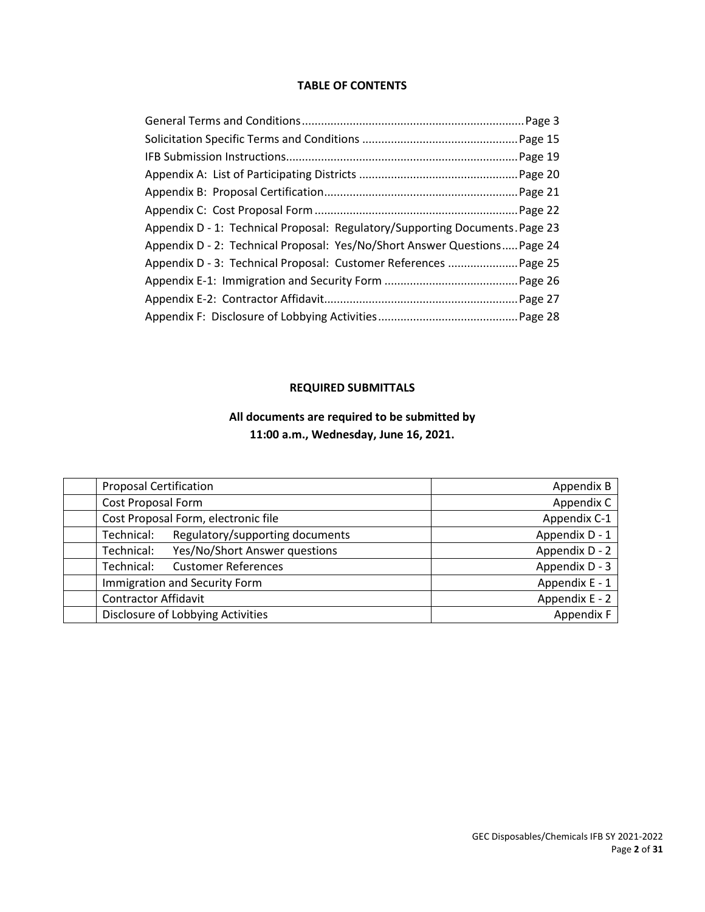### **TABLE OF CONTENTS**

| Appendix D - 1: Technical Proposal: Regulatory/Supporting Documents. Page 23 |  |
|------------------------------------------------------------------------------|--|
| Appendix D - 2: Technical Proposal: Yes/No/Short Answer Questions Page 24    |  |
|                                                                              |  |
|                                                                              |  |
|                                                                              |  |
|                                                                              |  |

## **REQUIRED SUBMITTALS**

## **All documents are required to be submitted by 11:00 a.m., Wednesday, June 16, 2021.**

|            | <b>Proposal Certification</b>       | Appendix B     |
|------------|-------------------------------------|----------------|
|            | Cost Proposal Form                  | Appendix C     |
|            | Cost Proposal Form, electronic file | Appendix C-1   |
| Technical: | Regulatory/supporting documents     | Appendix D - 1 |
| Technical: | Yes/No/Short Answer questions       | Appendix D - 2 |
| Technical: | <b>Customer References</b>          | Appendix D - 3 |
|            | Immigration and Security Form       | Appendix E - 1 |
|            | <b>Contractor Affidavit</b>         | Appendix E - 2 |
|            | Disclosure of Lobbying Activities   | Appendix F     |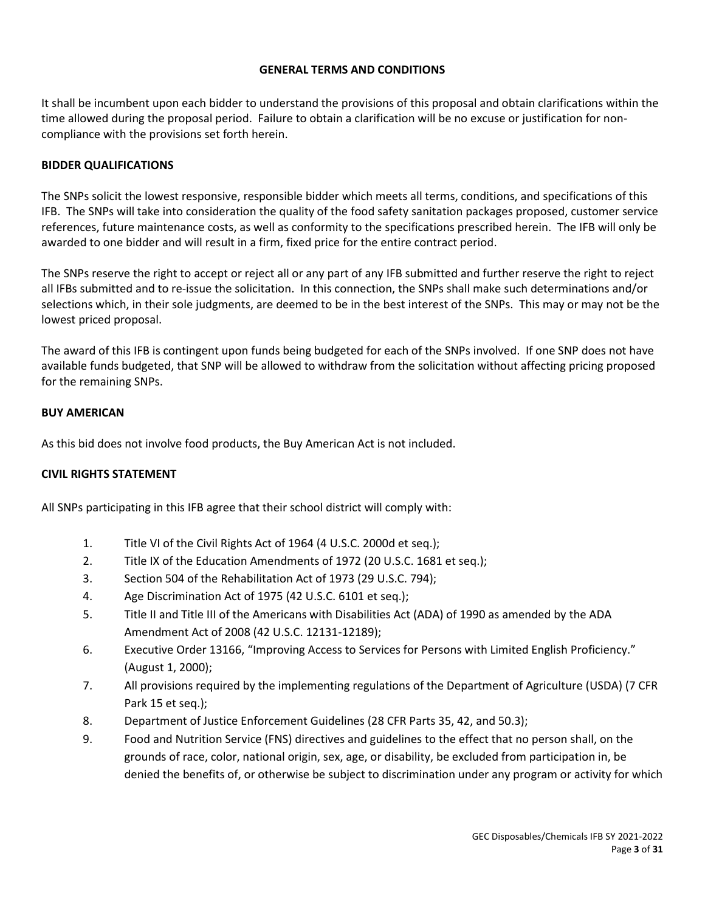## **GENERAL TERMS AND CONDITIONS**

It shall be incumbent upon each bidder to understand the provisions of this proposal and obtain clarifications within the time allowed during the proposal period. Failure to obtain a clarification will be no excuse or justification for noncompliance with the provisions set forth herein.

## **BIDDER QUALIFICATIONS**

The SNPs solicit the lowest responsive, responsible bidder which meets all terms, conditions, and specifications of this IFB. The SNPs will take into consideration the quality of the food safety sanitation packages proposed, customer service references, future maintenance costs, as well as conformity to the specifications prescribed herein. The IFB will only be awarded to one bidder and will result in a firm, fixed price for the entire contract period.

The SNPs reserve the right to accept or reject all or any part of any IFB submitted and further reserve the right to reject all IFBs submitted and to re-issue the solicitation. In this connection, the SNPs shall make such determinations and/or selections which, in their sole judgments, are deemed to be in the best interest of the SNPs. This may or may not be the lowest priced proposal.

The award of this IFB is contingent upon funds being budgeted for each of the SNPs involved. If one SNP does not have available funds budgeted, that SNP will be allowed to withdraw from the solicitation without affecting pricing proposed for the remaining SNPs.

## **BUY AMERICAN**

As this bid does not involve food products, the Buy American Act is not included.

## **CIVIL RIGHTS STATEMENT**

All SNPs participating in this IFB agree that their school district will comply with:

- 1. Title VI of the Civil Rights Act of 1964 (4 U.S.C. 2000d et seq.);
- 2. Title IX of the Education Amendments of 1972 (20 U.S.C. 1681 et seq.);
- 3. Section 504 of the Rehabilitation Act of 1973 (29 U.S.C. 794);
- 4. Age Discrimination Act of 1975 (42 U.S.C. 6101 et seq.);
- 5. Title II and Title III of the Americans with Disabilities Act (ADA) of 1990 as amended by the ADA Amendment Act of 2008 (42 U.S.C. 12131-12189);
- 6. Executive Order 13166, "Improving Access to Services for Persons with Limited English Proficiency." (August 1, 2000);
- 7. All provisions required by the implementing regulations of the Department of Agriculture (USDA) (7 CFR Park 15 et seq.);
- 8. Department of Justice Enforcement Guidelines (28 CFR Parts 35, 42, and 50.3);
- 9. Food and Nutrition Service (FNS) directives and guidelines to the effect that no person shall, on the grounds of race, color, national origin, sex, age, or disability, be excluded from participation in, be denied the benefits of, or otherwise be subject to discrimination under any program or activity for which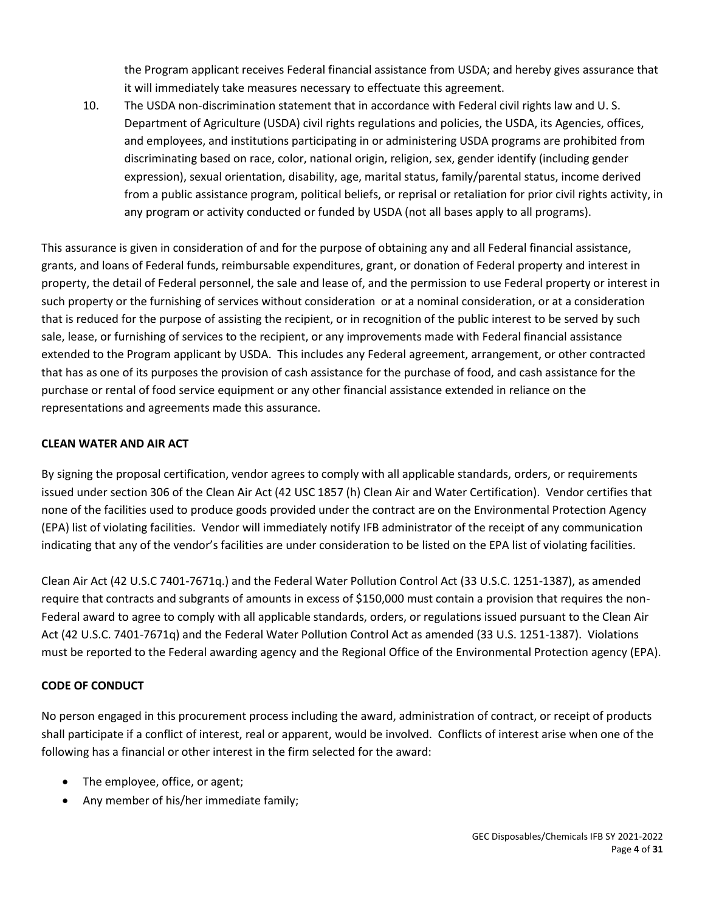the Program applicant receives Federal financial assistance from USDA; and hereby gives assurance that it will immediately take measures necessary to effectuate this agreement.

10. The USDA non-discrimination statement that in accordance with Federal civil rights law and U. S. Department of Agriculture (USDA) civil rights regulations and policies, the USDA, its Agencies, offices, and employees, and institutions participating in or administering USDA programs are prohibited from discriminating based on race, color, national origin, religion, sex, gender identify (including gender expression), sexual orientation, disability, age, marital status, family/parental status, income derived from a public assistance program, political beliefs, or reprisal or retaliation for prior civil rights activity, in any program or activity conducted or funded by USDA (not all bases apply to all programs).

This assurance is given in consideration of and for the purpose of obtaining any and all Federal financial assistance, grants, and loans of Federal funds, reimbursable expenditures, grant, or donation of Federal property and interest in property, the detail of Federal personnel, the sale and lease of, and the permission to use Federal property or interest in such property or the furnishing of services without consideration or at a nominal consideration, or at a consideration that is reduced for the purpose of assisting the recipient, or in recognition of the public interest to be served by such sale, lease, or furnishing of services to the recipient, or any improvements made with Federal financial assistance extended to the Program applicant by USDA. This includes any Federal agreement, arrangement, or other contracted that has as one of its purposes the provision of cash assistance for the purchase of food, and cash assistance for the purchase or rental of food service equipment or any other financial assistance extended in reliance on the representations and agreements made this assurance.

## **CLEAN WATER AND AIR ACT**

By signing the proposal certification, vendor agrees to comply with all applicable standards, orders, or requirements issued under section 306 of the Clean Air Act (42 USC 1857 (h) Clean Air and Water Certification). Vendor certifies that none of the facilities used to produce goods provided under the contract are on the Environmental Protection Agency (EPA) list of violating facilities. Vendor will immediately notify IFB administrator of the receipt of any communication indicating that any of the vendor's facilities are under consideration to be listed on the EPA list of violating facilities.

Clean Air Act (42 U.S.C 7401-7671q.) and the Federal Water Pollution Control Act (33 U.S.C. 1251-1387), as amended require that contracts and subgrants of amounts in excess of \$150,000 must contain a provision that requires the non-Federal award to agree to comply with all applicable standards, orders, or regulations issued pursuant to the Clean Air Act (42 U.S.C. 7401-7671q) and the Federal Water Pollution Control Act as amended (33 U.S. 1251-1387). Violations must be reported to the Federal awarding agency and the Regional Office of the Environmental Protection agency (EPA).

## **CODE OF CONDUCT**

No person engaged in this procurement process including the award, administration of contract, or receipt of products shall participate if a conflict of interest, real or apparent, would be involved. Conflicts of interest arise when one of the following has a financial or other interest in the firm selected for the award:

- The employee, office, or agent;
- Any member of his/her immediate family;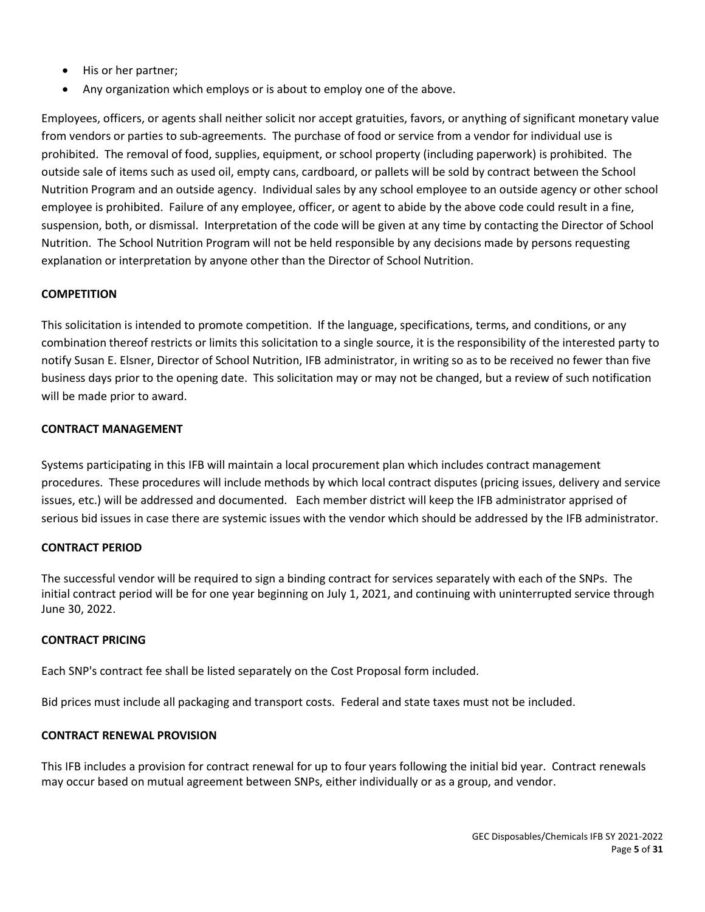- His or her partner;
- Any organization which employs or is about to employ one of the above.

Employees, officers, or agents shall neither solicit nor accept gratuities, favors, or anything of significant monetary value from vendors or parties to sub-agreements. The purchase of food or service from a vendor for individual use is prohibited. The removal of food, supplies, equipment, or school property (including paperwork) is prohibited. The outside sale of items such as used oil, empty cans, cardboard, or pallets will be sold by contract between the School Nutrition Program and an outside agency. Individual sales by any school employee to an outside agency or other school employee is prohibited. Failure of any employee, officer, or agent to abide by the above code could result in a fine, suspension, both, or dismissal. Interpretation of the code will be given at any time by contacting the Director of School Nutrition. The School Nutrition Program will not be held responsible by any decisions made by persons requesting explanation or interpretation by anyone other than the Director of School Nutrition.

## **COMPETITION**

This solicitation is intended to promote competition. If the language, specifications, terms, and conditions, or any combination thereof restricts or limits this solicitation to a single source, it is the responsibility of the interested party to notify Susan E. Elsner, Director of School Nutrition, IFB administrator, in writing so as to be received no fewer than five business days prior to the opening date. This solicitation may or may not be changed, but a review of such notification will be made prior to award.

#### **CONTRACT MANAGEMENT**

Systems participating in this IFB will maintain a local procurement plan which includes contract management procedures. These procedures will include methods by which local contract disputes (pricing issues, delivery and service issues, etc.) will be addressed and documented. Each member district will keep the IFB administrator apprised of serious bid issues in case there are systemic issues with the vendor which should be addressed by the IFB administrator.

#### **CONTRACT PERIOD**

The successful vendor will be required to sign a binding contract for services separately with each of the SNPs. The initial contract period will be for one year beginning on July 1, 2021, and continuing with uninterrupted service through June 30, 2022.

#### **CONTRACT PRICING**

Each SNP's contract fee shall be listed separately on the Cost Proposal form included.

Bid prices must include all packaging and transport costs. Federal and state taxes must not be included.

#### **CONTRACT RENEWAL PROVISION**

This IFB includes a provision for contract renewal for up to four years following the initial bid year. Contract renewals may occur based on mutual agreement between SNPs, either individually or as a group, and vendor.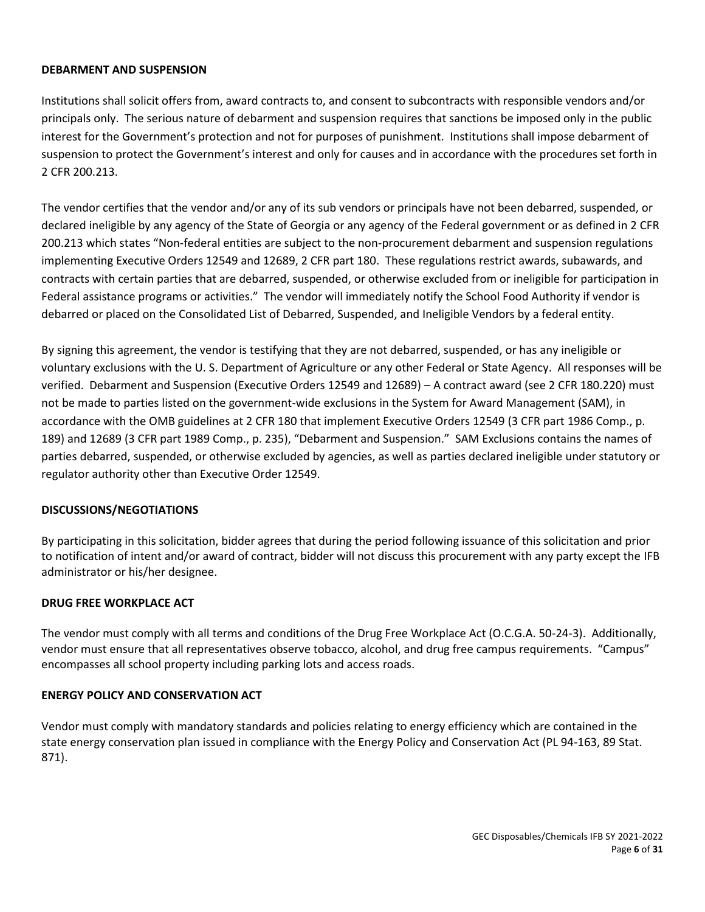## **DEBARMENT AND SUSPENSION**

Institutions shall solicit offers from, award contracts to, and consent to subcontracts with responsible vendors and/or principals only. The serious nature of debarment and suspension requires that sanctions be imposed only in the public interest for the Government's protection and not for purposes of punishment. Institutions shall impose debarment of suspension to protect the Government's interest and only for causes and in accordance with the procedures set forth in 2 CFR 200.213.

The vendor certifies that the vendor and/or any of its sub vendors or principals have not been debarred, suspended, or declared ineligible by any agency of the State of Georgia or any agency of the Federal government or as defined in 2 CFR 200.213 which states "Non-federal entities are subject to the non-procurement debarment and suspension regulations implementing Executive Orders 12549 and 12689, 2 CFR part 180. These regulations restrict awards, subawards, and contracts with certain parties that are debarred, suspended, or otherwise excluded from or ineligible for participation in Federal assistance programs or activities." The vendor will immediately notify the School Food Authority if vendor is debarred or placed on the Consolidated List of Debarred, Suspended, and Ineligible Vendors by a federal entity.

By signing this agreement, the vendor is testifying that they are not debarred, suspended, or has any ineligible or voluntary exclusions with the U. S. Department of Agriculture or any other Federal or State Agency. All responses will be verified. Debarment and Suspension (Executive Orders 12549 and 12689) – A contract award (see 2 CFR 180.220) must not be made to parties listed on the government-wide exclusions in the System for Award Management (SAM), in accordance with the OMB guidelines at 2 CFR 180 that implement Executive Orders 12549 (3 CFR part 1986 Comp., p. 189) and 12689 (3 CFR part 1989 Comp., p. 235), "Debarment and Suspension." SAM Exclusions contains the names of parties debarred, suspended, or otherwise excluded by agencies, as well as parties declared ineligible under statutory or regulator authority other than Executive Order 12549.

## **DISCUSSIONS/NEGOTIATIONS**

By participating in this solicitation, bidder agrees that during the period following issuance of this solicitation and prior to notification of intent and/or award of contract, bidder will not discuss this procurement with any party except the IFB administrator or his/her designee.

## **DRUG FREE WORKPLACE ACT**

The vendor must comply with all terms and conditions of the Drug Free Workplace Act (O.C.G.A. 50-24-3). Additionally, vendor must ensure that all representatives observe tobacco, alcohol, and drug free campus requirements. "Campus" encompasses all school property including parking lots and access roads.

#### **ENERGY POLICY AND CONSERVATION ACT**

Vendor must comply with mandatory standards and policies relating to energy efficiency which are contained in the state energy conservation plan issued in compliance with the Energy Policy and Conservation Act (PL 94-163, 89 Stat. 871).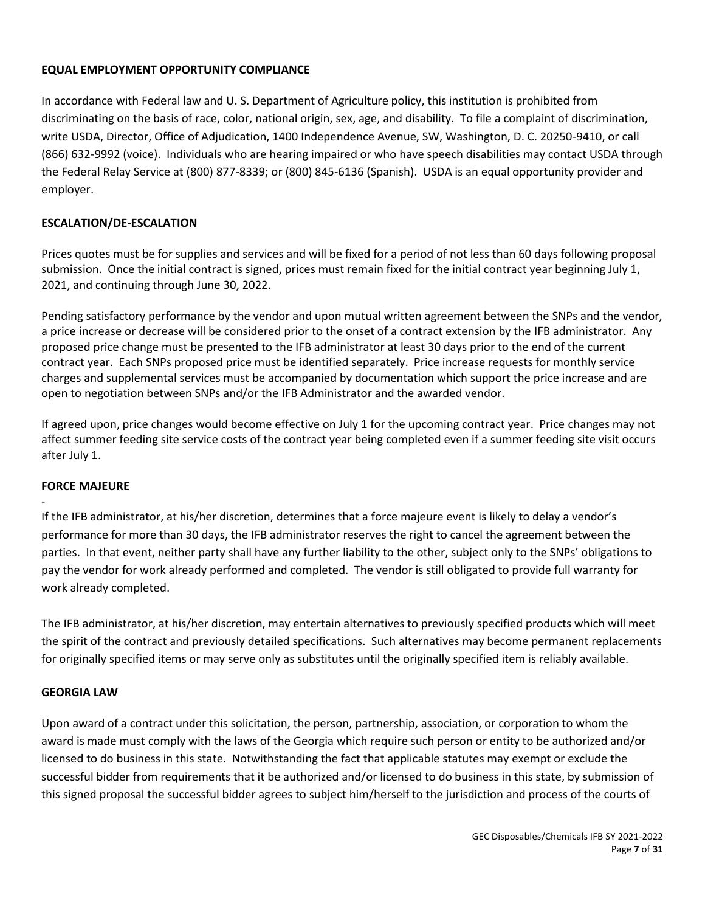## **EQUAL EMPLOYMENT OPPORTUNITY COMPLIANCE**

In accordance with Federal law and U. S. Department of Agriculture policy, this institution is prohibited from discriminating on the basis of race, color, national origin, sex, age, and disability. To file a complaint of discrimination, write USDA, Director, Office of Adjudication, 1400 Independence Avenue, SW, Washington, D. C. 20250-9410, or call (866) 632-9992 (voice). Individuals who are hearing impaired or who have speech disabilities may contact USDA through the Federal Relay Service at (800) 877-8339; or (800) 845-6136 (Spanish). USDA is an equal opportunity provider and employer.

## **ESCALATION/DE-ESCALATION**

Prices quotes must be for supplies and services and will be fixed for a period of not less than 60 days following proposal submission. Once the initial contract is signed, prices must remain fixed for the initial contract year beginning July 1, 2021, and continuing through June 30, 2022.

Pending satisfactory performance by the vendor and upon mutual written agreement between the SNPs and the vendor, a price increase or decrease will be considered prior to the onset of a contract extension by the IFB administrator. Any proposed price change must be presented to the IFB administrator at least 30 days prior to the end of the current contract year. Each SNPs proposed price must be identified separately. Price increase requests for monthly service charges and supplemental services must be accompanied by documentation which support the price increase and are open to negotiation between SNPs and/or the IFB Administrator and the awarded vendor.

If agreed upon, price changes would become effective on July 1 for the upcoming contract year. Price changes may not affect summer feeding site service costs of the contract year being completed even if a summer feeding site visit occurs after July 1.

## **FORCE MAJEURE**

-

If the IFB administrator, at his/her discretion, determines that a force majeure event is likely to delay a vendor's performance for more than 30 days, the IFB administrator reserves the right to cancel the agreement between the parties. In that event, neither party shall have any further liability to the other, subject only to the SNPs' obligations to pay the vendor for work already performed and completed. The vendor is still obligated to provide full warranty for work already completed.

The IFB administrator, at his/her discretion, may entertain alternatives to previously specified products which will meet the spirit of the contract and previously detailed specifications. Such alternatives may become permanent replacements for originally specified items or may serve only as substitutes until the originally specified item is reliably available.

## **GEORGIA LAW**

Upon award of a contract under this solicitation, the person, partnership, association, or corporation to whom the award is made must comply with the laws of the Georgia which require such person or entity to be authorized and/or licensed to do business in this state. Notwithstanding the fact that applicable statutes may exempt or exclude the successful bidder from requirements that it be authorized and/or licensed to do business in this state, by submission of this signed proposal the successful bidder agrees to subject him/herself to the jurisdiction and process of the courts of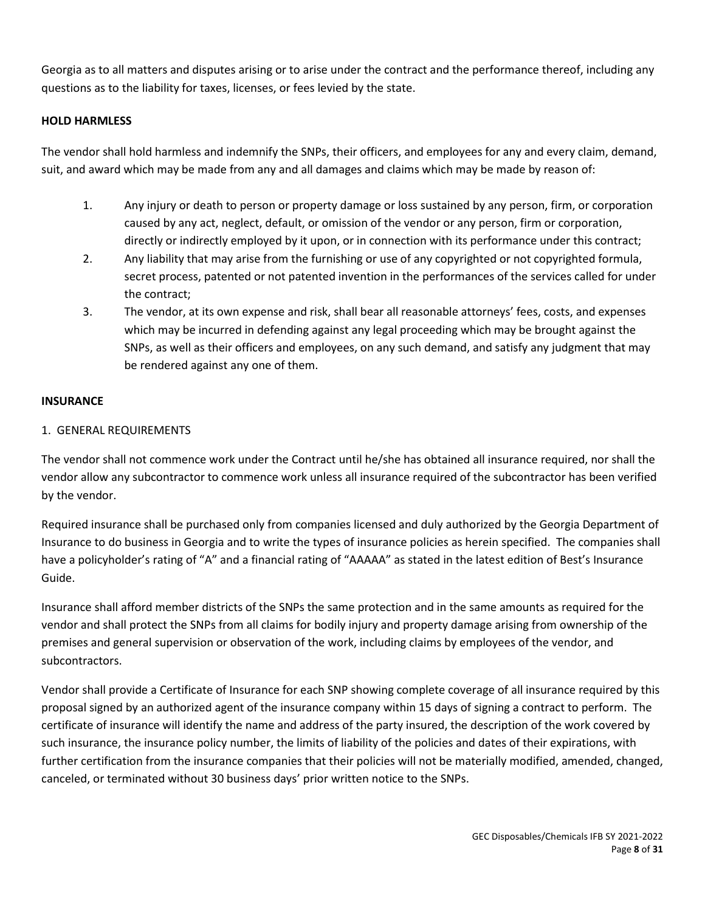Georgia as to all matters and disputes arising or to arise under the contract and the performance thereof, including any questions as to the liability for taxes, licenses, or fees levied by the state.

## **HOLD HARMLESS**

The vendor shall hold harmless and indemnify the SNPs, their officers, and employees for any and every claim, demand, suit, and award which may be made from any and all damages and claims which may be made by reason of:

- 1. Any injury or death to person or property damage or loss sustained by any person, firm, or corporation caused by any act, neglect, default, or omission of the vendor or any person, firm or corporation, directly or indirectly employed by it upon, or in connection with its performance under this contract;
- 2. Any liability that may arise from the furnishing or use of any copyrighted or not copyrighted formula, secret process, patented or not patented invention in the performances of the services called for under the contract;
- 3. The vendor, at its own expense and risk, shall bear all reasonable attorneys' fees, costs, and expenses which may be incurred in defending against any legal proceeding which may be brought against the SNPs, as well as their officers and employees, on any such demand, and satisfy any judgment that may be rendered against any one of them.

## **INSURANCE**

## 1. GENERAL REQUIREMENTS

The vendor shall not commence work under the Contract until he/she has obtained all insurance required, nor shall the vendor allow any subcontractor to commence work unless all insurance required of the subcontractor has been verified by the vendor.

Required insurance shall be purchased only from companies licensed and duly authorized by the Georgia Department of Insurance to do business in Georgia and to write the types of insurance policies as herein specified. The companies shall have a policyholder's rating of "A" and a financial rating of "AAAAA" as stated in the latest edition of Best's Insurance Guide.

Insurance shall afford member districts of the SNPs the same protection and in the same amounts as required for the vendor and shall protect the SNPs from all claims for bodily injury and property damage arising from ownership of the premises and general supervision or observation of the work, including claims by employees of the vendor, and subcontractors.

Vendor shall provide a Certificate of Insurance for each SNP showing complete coverage of all insurance required by this proposal signed by an authorized agent of the insurance company within 15 days of signing a contract to perform. The certificate of insurance will identify the name and address of the party insured, the description of the work covered by such insurance, the insurance policy number, the limits of liability of the policies and dates of their expirations, with further certification from the insurance companies that their policies will not be materially modified, amended, changed, canceled, or terminated without 30 business days' prior written notice to the SNPs.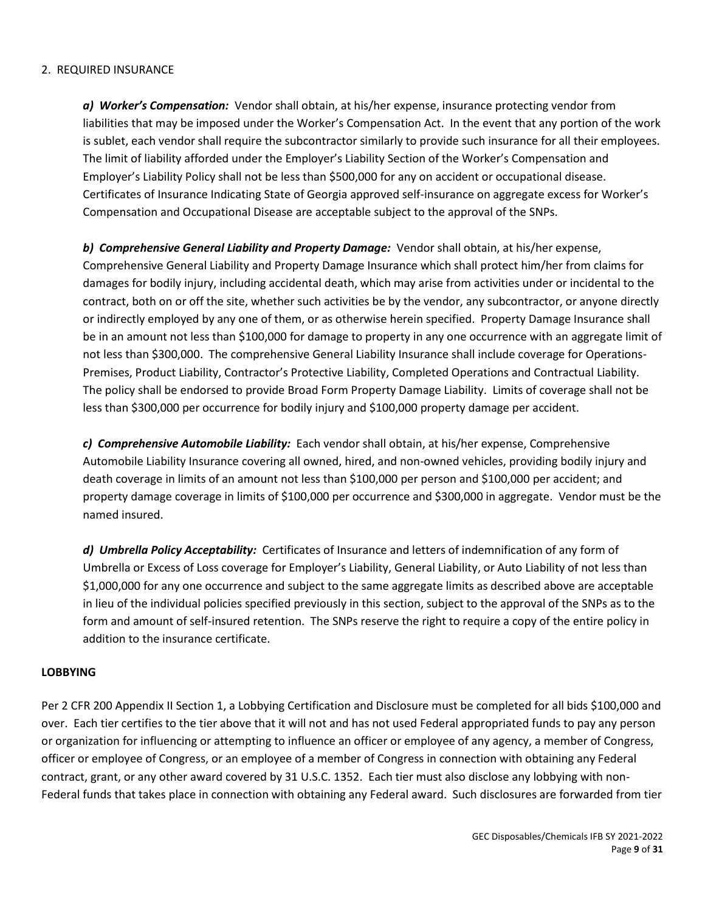## 2. REQUIRED INSURANCE

*a) Worker's Compensation:* Vendor shall obtain, at his/her expense, insurance protecting vendor from liabilities that may be imposed under the Worker's Compensation Act. In the event that any portion of the work is sublet, each vendor shall require the subcontractor similarly to provide such insurance for all their employees. The limit of liability afforded under the Employer's Liability Section of the Worker's Compensation and Employer's Liability Policy shall not be less than \$500,000 for any on accident or occupational disease. Certificates of Insurance Indicating State of Georgia approved self-insurance on aggregate excess for Worker's Compensation and Occupational Disease are acceptable subject to the approval of the SNPs.

*b) Comprehensive General Liability and Property Damage:* Vendor shall obtain, at his/her expense, Comprehensive General Liability and Property Damage Insurance which shall protect him/her from claims for damages for bodily injury, including accidental death, which may arise from activities under or incidental to the contract, both on or off the site, whether such activities be by the vendor, any subcontractor, or anyone directly or indirectly employed by any one of them, or as otherwise herein specified. Property Damage Insurance shall be in an amount not less than \$100,000 for damage to property in any one occurrence with an aggregate limit of not less than \$300,000. The comprehensive General Liability Insurance shall include coverage for Operations-Premises, Product Liability, Contractor's Protective Liability, Completed Operations and Contractual Liability. The policy shall be endorsed to provide Broad Form Property Damage Liability. Limits of coverage shall not be less than \$300,000 per occurrence for bodily injury and \$100,000 property damage per accident.

*c) Comprehensive Automobile Liability:* Each vendor shall obtain, at his/her expense, Comprehensive Automobile Liability Insurance covering all owned, hired, and non-owned vehicles, providing bodily injury and death coverage in limits of an amount not less than \$100,000 per person and \$100,000 per accident; and property damage coverage in limits of \$100,000 per occurrence and \$300,000 in aggregate. Vendor must be the named insured.

*d) Umbrella Policy Acceptability:* Certificates of Insurance and letters of indemnification of any form of Umbrella or Excess of Loss coverage for Employer's Liability, General Liability, or Auto Liability of not less than \$1,000,000 for any one occurrence and subject to the same aggregate limits as described above are acceptable in lieu of the individual policies specified previously in this section, subject to the approval of the SNPs as to the form and amount of self-insured retention. The SNPs reserve the right to require a copy of the entire policy in addition to the insurance certificate.

## **LOBBYING**

Per 2 CFR 200 Appendix II Section 1, a Lobbying Certification and Disclosure must be completed for all bids \$100,000 and over. Each tier certifies to the tier above that it will not and has not used Federal appropriated funds to pay any person or organization for influencing or attempting to influence an officer or employee of any agency, a member of Congress, officer or employee of Congress, or an employee of a member of Congress in connection with obtaining any Federal contract, grant, or any other award covered by 31 U.S.C. 1352. Each tier must also disclose any lobbying with non-Federal funds that takes place in connection with obtaining any Federal award. Such disclosures are forwarded from tier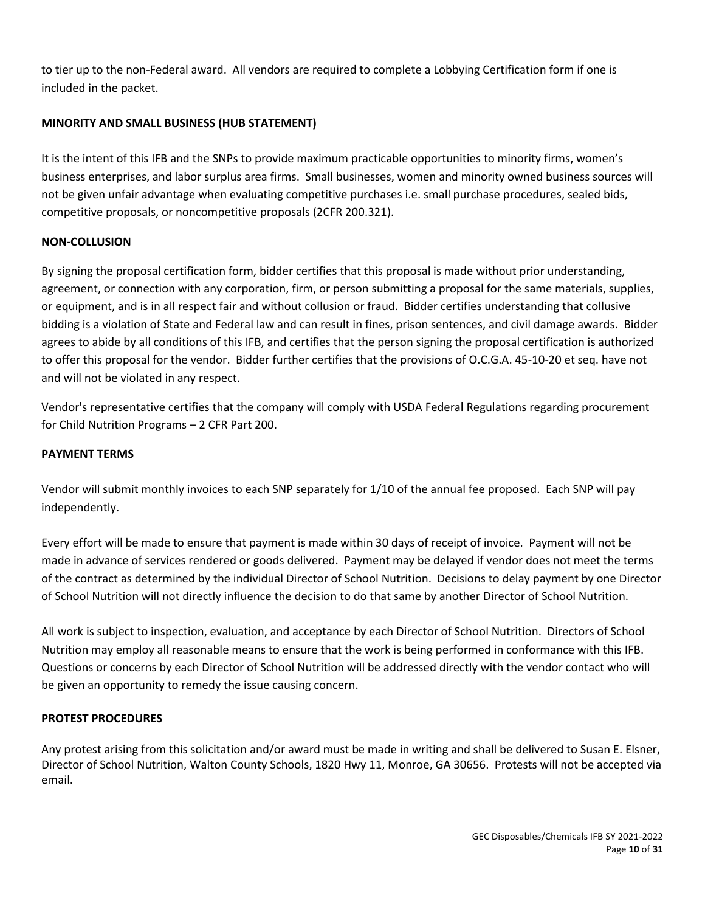to tier up to the non-Federal award. All vendors are required to complete a Lobbying Certification form if one is included in the packet.

## **MINORITY AND SMALL BUSINESS (HUB STATEMENT)**

It is the intent of this IFB and the SNPs to provide maximum practicable opportunities to minority firms, women's business enterprises, and labor surplus area firms. Small businesses, women and minority owned business sources will not be given unfair advantage when evaluating competitive purchases i.e. small purchase procedures, sealed bids, competitive proposals, or noncompetitive proposals (2CFR 200.321).

#### **NON-COLLUSION**

By signing the proposal certification form, bidder certifies that this proposal is made without prior understanding, agreement, or connection with any corporation, firm, or person submitting a proposal for the same materials, supplies, or equipment, and is in all respect fair and without collusion or fraud. Bidder certifies understanding that collusive bidding is a violation of State and Federal law and can result in fines, prison sentences, and civil damage awards. Bidder agrees to abide by all conditions of this IFB, and certifies that the person signing the proposal certification is authorized to offer this proposal for the vendor. Bidder further certifies that the provisions of O.C.G.A. 45-10-20 et seq. have not and will not be violated in any respect.

Vendor's representative certifies that the company will comply with USDA Federal Regulations regarding procurement for Child Nutrition Programs – 2 CFR Part 200.

### **PAYMENT TERMS**

Vendor will submit monthly invoices to each SNP separately for 1/10 of the annual fee proposed. Each SNP will pay independently.

Every effort will be made to ensure that payment is made within 30 days of receipt of invoice. Payment will not be made in advance of services rendered or goods delivered. Payment may be delayed if vendor does not meet the terms of the contract as determined by the individual Director of School Nutrition. Decisions to delay payment by one Director of School Nutrition will not directly influence the decision to do that same by another Director of School Nutrition.

All work is subject to inspection, evaluation, and acceptance by each Director of School Nutrition. Directors of School Nutrition may employ all reasonable means to ensure that the work is being performed in conformance with this IFB. Questions or concerns by each Director of School Nutrition will be addressed directly with the vendor contact who will be given an opportunity to remedy the issue causing concern.

## **PROTEST PROCEDURES**

Any protest arising from this solicitation and/or award must be made in writing and shall be delivered to Susan E. Elsner, Director of School Nutrition, Walton County Schools, 1820 Hwy 11, Monroe, GA 30656. Protests will not be accepted via email.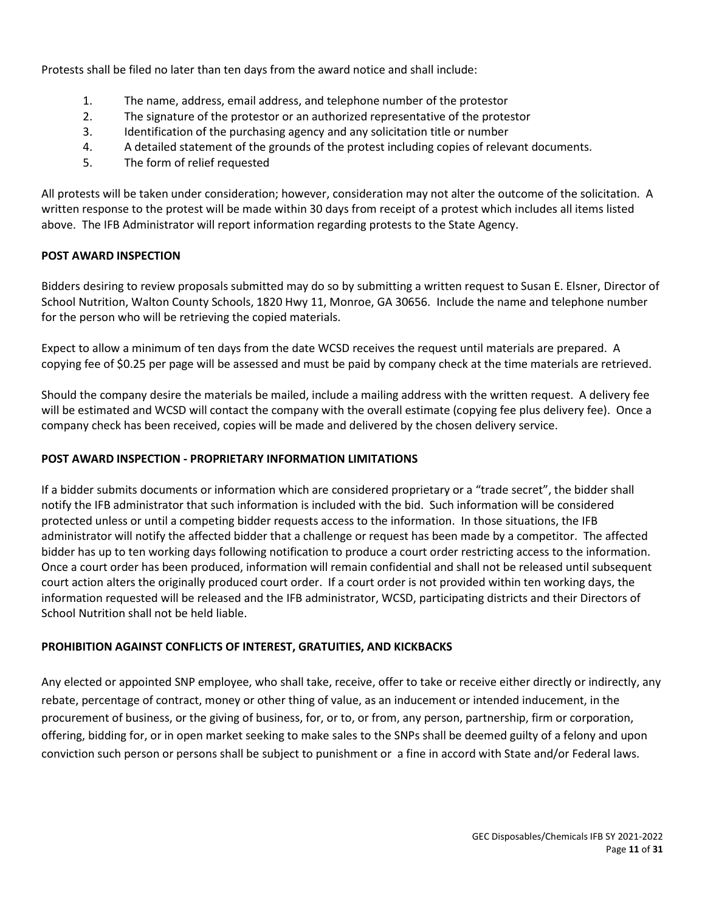Protests shall be filed no later than ten days from the award notice and shall include:

- 1. The name, address, email address, and telephone number of the protestor
- 2. The signature of the protestor or an authorized representative of the protestor
- 3. Identification of the purchasing agency and any solicitation title or number
- 4. A detailed statement of the grounds of the protest including copies of relevant documents.
- 5. The form of relief requested

All protests will be taken under consideration; however, consideration may not alter the outcome of the solicitation. A written response to the protest will be made within 30 days from receipt of a protest which includes all items listed above. The IFB Administrator will report information regarding protests to the State Agency.

## **POST AWARD INSPECTION**

Bidders desiring to review proposals submitted may do so by submitting a written request to Susan E. Elsner, Director of School Nutrition, Walton County Schools, 1820 Hwy 11, Monroe, GA 30656. Include the name and telephone number for the person who will be retrieving the copied materials.

Expect to allow a minimum of ten days from the date WCSD receives the request until materials are prepared. A copying fee of \$0.25 per page will be assessed and must be paid by company check at the time materials are retrieved.

Should the company desire the materials be mailed, include a mailing address with the written request. A delivery fee will be estimated and WCSD will contact the company with the overall estimate (copying fee plus delivery fee). Once a company check has been received, copies will be made and delivered by the chosen delivery service.

## **POST AWARD INSPECTION - PROPRIETARY INFORMATION LIMITATIONS**

If a bidder submits documents or information which are considered proprietary or a "trade secret", the bidder shall notify the IFB administrator that such information is included with the bid. Such information will be considered protected unless or until a competing bidder requests access to the information. In those situations, the IFB administrator will notify the affected bidder that a challenge or request has been made by a competitor. The affected bidder has up to ten working days following notification to produce a court order restricting access to the information. Once a court order has been produced, information will remain confidential and shall not be released until subsequent court action alters the originally produced court order. If a court order is not provided within ten working days, the information requested will be released and the IFB administrator, WCSD, participating districts and their Directors of School Nutrition shall not be held liable.

## **PROHIBITION AGAINST CONFLICTS OF INTEREST, GRATUITIES, AND KICKBACKS**

Any elected or appointed SNP employee, who shall take, receive, offer to take or receive either directly or indirectly, any rebate, percentage of contract, money or other thing of value, as an inducement or intended inducement, in the procurement of business, or the giving of business, for, or to, or from, any person, partnership, firm or corporation, offering, bidding for, or in open market seeking to make sales to the SNPs shall be deemed guilty of a felony and upon conviction such person or persons shall be subject to punishment or a fine in accord with State and/or Federal laws.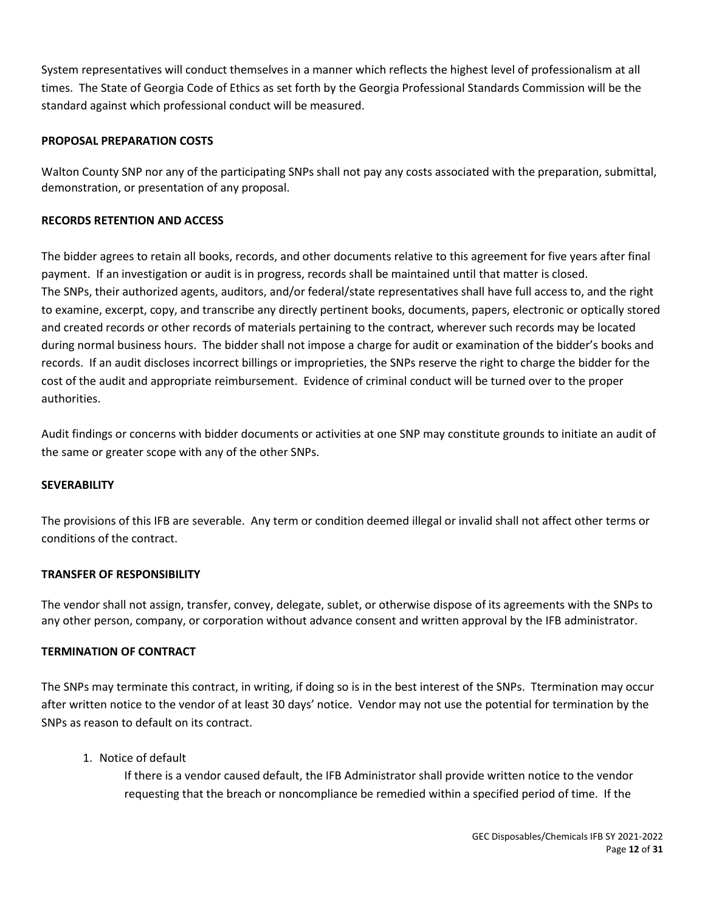System representatives will conduct themselves in a manner which reflects the highest level of professionalism at all times. The State of Georgia Code of Ethics as set forth by the Georgia Professional Standards Commission will be the standard against which professional conduct will be measured.

## **PROPOSAL PREPARATION COSTS**

Walton County SNP nor any of the participating SNPs shall not pay any costs associated with the preparation, submittal, demonstration, or presentation of any proposal.

### **RECORDS RETENTION AND ACCESS**

The bidder agrees to retain all books, records, and other documents relative to this agreement for five years after final payment. If an investigation or audit is in progress, records shall be maintained until that matter is closed. The SNPs, their authorized agents, auditors, and/or federal/state representatives shall have full access to, and the right to examine, excerpt, copy, and transcribe any directly pertinent books, documents, papers, electronic or optically stored and created records or other records of materials pertaining to the contract, wherever such records may be located during normal business hours. The bidder shall not impose a charge for audit or examination of the bidder's books and records. If an audit discloses incorrect billings or improprieties, the SNPs reserve the right to charge the bidder for the cost of the audit and appropriate reimbursement. Evidence of criminal conduct will be turned over to the proper authorities.

Audit findings or concerns with bidder documents or activities at one SNP may constitute grounds to initiate an audit of the same or greater scope with any of the other SNPs.

#### **SEVERABILITY**

The provisions of this IFB are severable. Any term or condition deemed illegal or invalid shall not affect other terms or conditions of the contract.

#### **TRANSFER OF RESPONSIBILITY**

The vendor shall not assign, transfer, convey, delegate, sublet, or otherwise dispose of its agreements with the SNPs to any other person, company, or corporation without advance consent and written approval by the IFB administrator.

#### **TERMINATION OF CONTRACT**

The SNPs may terminate this contract, in writing, if doing so is in the best interest of the SNPs. Ttermination may occur after written notice to the vendor of at least 30 days' notice. Vendor may not use the potential for termination by the SNPs as reason to default on its contract.

1. Notice of default

If there is a vendor caused default, the IFB Administrator shall provide written notice to the vendor requesting that the breach or noncompliance be remedied within a specified period of time. If the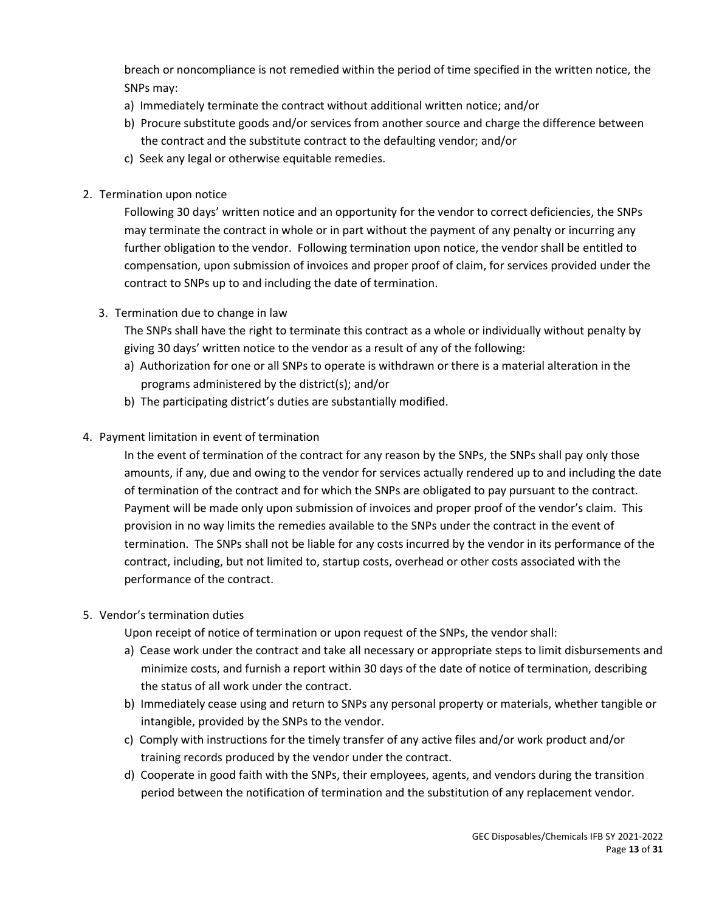breach or noncompliance is not remedied within the period of time specified in the written notice, the SNPs may:

- a) Immediately terminate the contract without additional written notice; and/or
- b) Procure substitute goods and/or services from another source and charge the difference between the contract and the substitute contract to the defaulting vendor; and/or
- c) Seek any legal or otherwise equitable remedies.
- 2. Termination upon notice

Following 30 days' written notice and an opportunity for the vendor to correct deficiencies, the SNPs may terminate the contract in whole or in part without the payment of any penalty or incurring any further obligation to the vendor. Following termination upon notice, the vendor shall be entitled to compensation, upon submission of invoices and proper proof of claim, for services provided under the contract to SNPs up to and including the date of termination.

3. Termination due to change in law

The SNPs shall have the right to terminate this contract as a whole or individually without penalty by giving 30 days' written notice to the vendor as a result of any of the following:

- a) Authorization for one or all SNPs to operate is withdrawn or there is a material alteration in the programs administered by the district(s); and/or
- b) The participating district's duties are substantially modified.
- 4. Payment limitation in event of termination

In the event of termination of the contract for any reason by the SNPs, the SNPs shall pay only those amounts, if any, due and owing to the vendor for services actually rendered up to and including the date of termination of the contract and for which the SNPs are obligated to pay pursuant to the contract. Payment will be made only upon submission of invoices and proper proof of the vendor's claim. This provision in no way limits the remedies available to the SNPs under the contract in the event of termination. The SNPs shall not be liable for any costs incurred by the vendor in its performance of the contract, including, but not limited to, startup costs, overhead or other costs associated with the performance of the contract.

5. Vendor's termination duties

Upon receipt of notice of termination or upon request of the SNPs, the vendor shall:

- a) Cease work under the contract and take all necessary or appropriate steps to limit disbursements and minimize costs, and furnish a report within 30 days of the date of notice of termination, describing the status of all work under the contract.
- b) Immediately cease using and return to SNPs any personal property or materials, whether tangible or intangible, provided by the SNPs to the vendor.
- c) Comply with instructions for the timely transfer of any active files and/or work product and/or training records produced by the vendor under the contract.
- d) Cooperate in good faith with the SNPs, their employees, agents, and vendors during the transition period between the notification of termination and the substitution of any replacement vendor.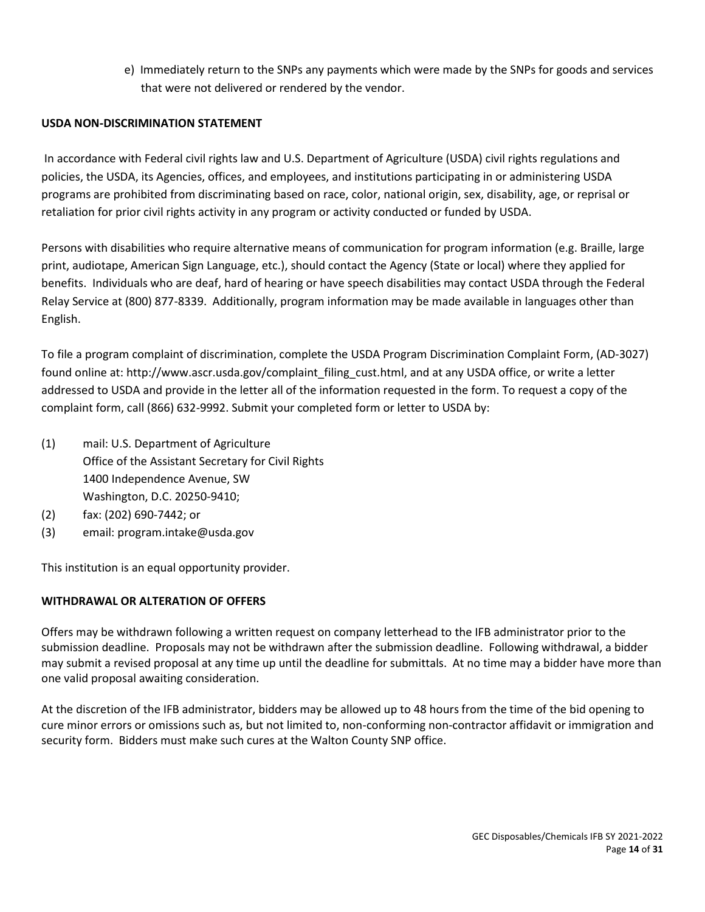e) Immediately return to the SNPs any payments which were made by the SNPs for goods and services that were not delivered or rendered by the vendor.

## **USDA NON-DISCRIMINATION STATEMENT**

In accordance with Federal civil rights law and U.S. Department of Agriculture (USDA) civil rights regulations and policies, the USDA, its Agencies, offices, and employees, and institutions participating in or administering USDA programs are prohibited from discriminating based on race, color, national origin, sex, disability, age, or reprisal or retaliation for prior civil rights activity in any program or activity conducted or funded by USDA.

Persons with disabilities who require alternative means of communication for program information (e.g. Braille, large print, audiotape, American Sign Language, etc.), should contact the Agency (State or local) where they applied for benefits. Individuals who are deaf, hard of hearing or have speech disabilities may contact USDA through the Federal Relay Service at (800) 877-8339. Additionally, program information may be made available in languages other than English.

To file a program complaint of discrimination, complete th[e USDA Program Discrimination Complaint Form,](http://www.ocio.usda.gov/sites/default/files/docs/2012/Complain_combined_6_8_12.pdf) (AD-3027) found online at: http://www.ascr.usda.gov/complaint\_filing\_cust.html, and at any USDA office, or write a letter addressed to USDA and provide in the letter all of the information requested in the form. To request a copy of the complaint form, call (866) 632-9992. Submit your completed form or letter to USDA by:

- (1) mail: U.S. Department of Agriculture Office of the Assistant Secretary for Civil Rights 1400 Independence Avenue, SW Washington, D.C. 20250-9410;
- (2) fax: (202) 690-7442; or
- (3) email: program.intake@usda.gov

This institution is an equal opportunity provider.

## **WITHDRAWAL OR ALTERATION OF OFFERS**

Offers may be withdrawn following a written request on company letterhead to the IFB administrator prior to the submission deadline. Proposals may not be withdrawn after the submission deadline. Following withdrawal, a bidder may submit a revised proposal at any time up until the deadline for submittals. At no time may a bidder have more than one valid proposal awaiting consideration.

At the discretion of the IFB administrator, bidders may be allowed up to 48 hours from the time of the bid opening to cure minor errors or omissions such as, but not limited to, non-conforming non-contractor affidavit or immigration and security form. Bidders must make such cures at the Walton County SNP office.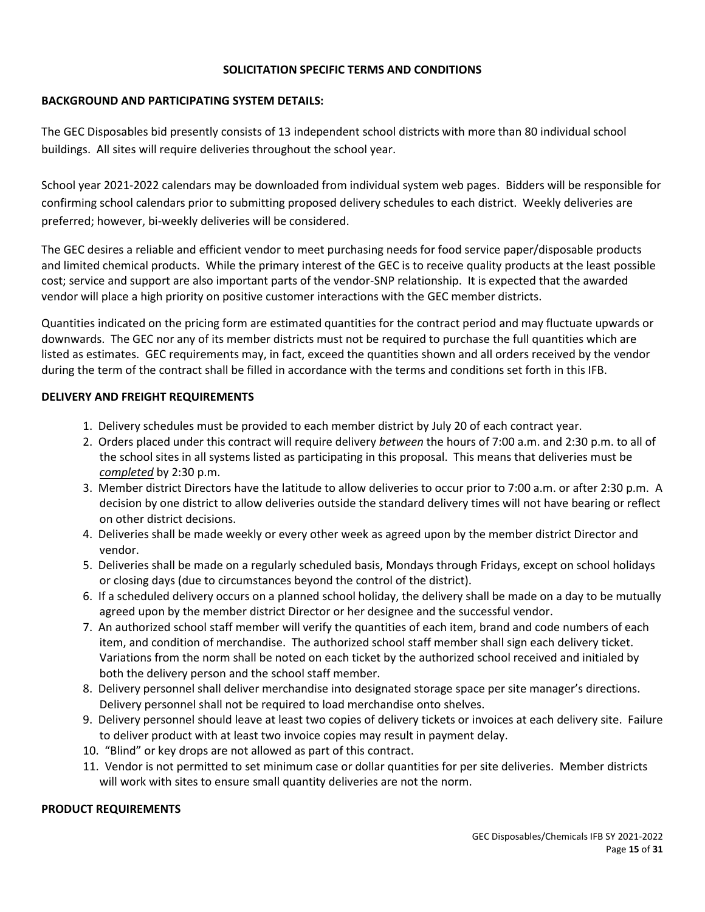## **SOLICITATION SPECIFIC TERMS AND CONDITIONS**

## **BACKGROUND AND PARTICIPATING SYSTEM DETAILS:**

The GEC Disposables bid presently consists of 13 independent school districts with more than 80 individual school buildings. All sites will require deliveries throughout the school year.

School year 2021-2022 calendars may be downloaded from individual system web pages. Bidders will be responsible for confirming school calendars prior to submitting proposed delivery schedules to each district. Weekly deliveries are preferred; however, bi-weekly deliveries will be considered.

The GEC desires a reliable and efficient vendor to meet purchasing needs for food service paper/disposable products and limited chemical products. While the primary interest of the GEC is to receive quality products at the least possible cost; service and support are also important parts of the vendor-SNP relationship. It is expected that the awarded vendor will place a high priority on positive customer interactions with the GEC member districts.

Quantities indicated on the pricing form are estimated quantities for the contract period and may fluctuate upwards or downwards. The GEC nor any of its member districts must not be required to purchase the full quantities which are listed as estimates. GEC requirements may, in fact, exceed the quantities shown and all orders received by the vendor during the term of the contract shall be filled in accordance with the terms and conditions set forth in this IFB.

## **DELIVERY AND FREIGHT REQUIREMENTS**

- 1. Delivery schedules must be provided to each member district by July 20 of each contract year.
- 2. Orders placed under this contract will require delivery *between* the hours of 7:00 a.m. and 2:30 p.m. to all of the school sites in all systems listed as participating in this proposal. This means that deliveries must be *completed* by 2:30 p.m.
- 3. Member district Directors have the latitude to allow deliveries to occur prior to 7:00 a.m. or after 2:30 p.m. A decision by one district to allow deliveries outside the standard delivery times will not have bearing or reflect on other district decisions.
- 4. Deliveries shall be made weekly or every other week as agreed upon by the member district Director and vendor.
- 5. Deliveries shall be made on a regularly scheduled basis, Mondays through Fridays, except on school holidays or closing days (due to circumstances beyond the control of the district).
- 6. If a scheduled delivery occurs on a planned school holiday, the delivery shall be made on a day to be mutually agreed upon by the member district Director or her designee and the successful vendor.
- 7. An authorized school staff member will verify the quantities of each item, brand and code numbers of each item, and condition of merchandise. The authorized school staff member shall sign each delivery ticket. Variations from the norm shall be noted on each ticket by the authorized school received and initialed by both the delivery person and the school staff member.
- 8. Delivery personnel shall deliver merchandise into designated storage space per site manager's directions. Delivery personnel shall not be required to load merchandise onto shelves.
- 9. Delivery personnel should leave at least two copies of delivery tickets or invoices at each delivery site. Failure to deliver product with at least two invoice copies may result in payment delay.
- 10. "Blind" or key drops are not allowed as part of this contract.
- 11. Vendor is not permitted to set minimum case or dollar quantities for per site deliveries. Member districts will work with sites to ensure small quantity deliveries are not the norm.

## **PRODUCT REQUIREMENTS**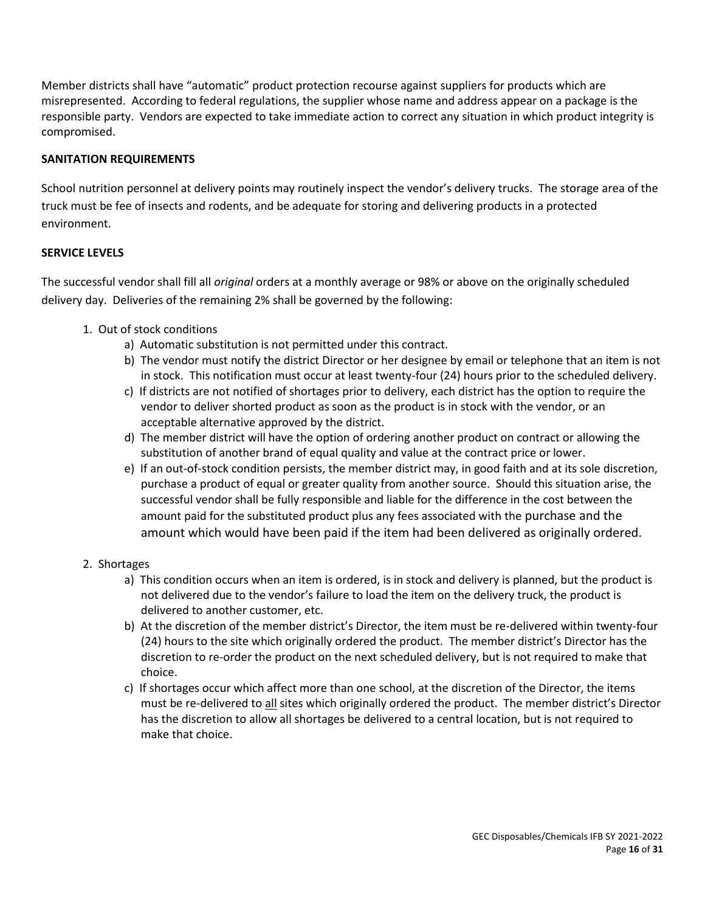Member districts shall have "automatic" product protection recourse against suppliers for products which are misrepresented. According to federal regulations, the supplier whose name and address appear on a package is the responsible party. Vendors are expected to take immediate action to correct any situation in which product integrity is compromised.

## **SANITATION REQUIREMENTS**

School nutrition personnel at delivery points may routinely inspect the vendor's delivery trucks. The storage area of the truck must be fee of insects and rodents, and be adequate for storing and delivering products in a protected environment.

## **SERVICE LEVELS**

The successful vendor shall fill all *original* orders at a monthly average or 98% or above on the originally scheduled delivery day. Deliveries of the remaining 2% shall be governed by the following:

- 1. Out of stock conditions
	- a) Automatic substitution is not permitted under this contract.
	- b) The vendor must notify the district Director or her designee by email or telephone that an item is not in stock. This notification must occur at least twenty-four (24) hours prior to the scheduled delivery.
	- c) If districts are not notified of shortages prior to delivery, each district has the option to require the vendor to deliver shorted product as soon as the product is in stock with the vendor, or an acceptable alternative approved by the district.
	- d) The member district will have the option of ordering another product on contract or allowing the substitution of another brand of equal quality and value at the contract price or lower.
	- e) If an out-of-stock condition persists, the member district may, in good faith and at its sole discretion, purchase a product of equal or greater quality from another source. Should this situation arise, the successful vendor shall be fully responsible and liable for the difference in the cost between the amount paid for the substituted product plus any fees associated with the purchase and the amount which would have been paid if the item had been delivered as originally ordered.
- 2. Shortages
	- a) This condition occurs when an item is ordered, is in stock and delivery is planned, but the product is not delivered due to the vendor's failure to load the item on the delivery truck, the product is delivered to another customer, etc.
	- b) At the discretion of the member district's Director, the item must be re-delivered within twenty-four (24) hours to the site which originally ordered the product. The member district's Director has the discretion to re-order the product on the next scheduled delivery, but is not required to make that choice.
	- c) If shortages occur which affect more than one school, at the discretion of the Director, the items must be re-delivered to all sites which originally ordered the product. The member district's Director has the discretion to allow all shortages be delivered to a central location, but is not required to make that choice.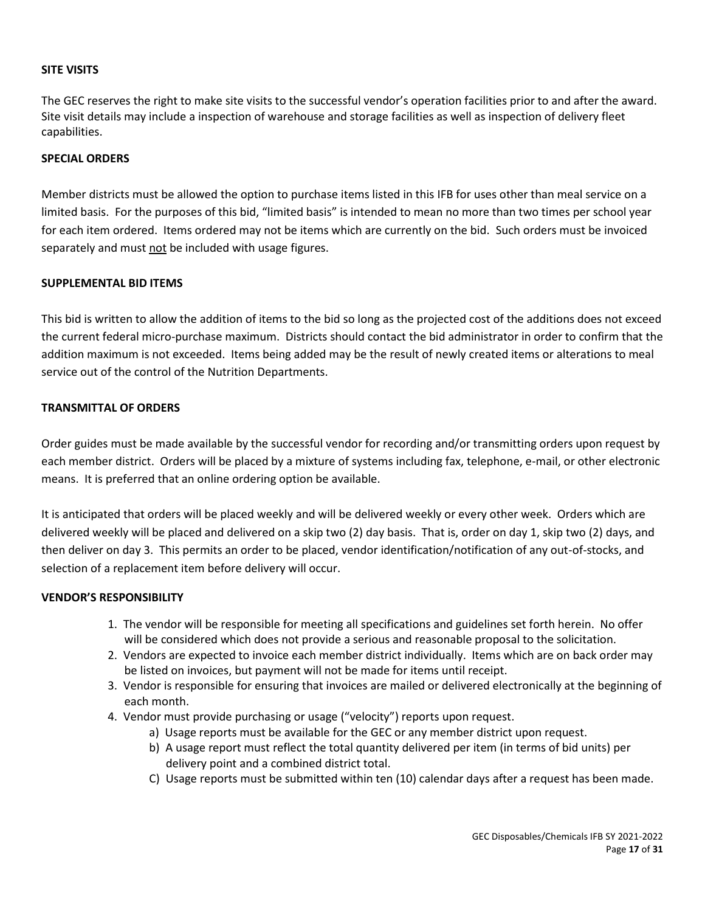## **SITE VISITS**

The GEC reserves the right to make site visits to the successful vendor's operation facilities prior to and after the award. Site visit details may include a inspection of warehouse and storage facilities as well as inspection of delivery fleet capabilities.

## **SPECIAL ORDERS**

Member districts must be allowed the option to purchase items listed in this IFB for uses other than meal service on a limited basis. For the purposes of this bid, "limited basis" is intended to mean no more than two times per school year for each item ordered. Items ordered may not be items which are currently on the bid. Such orders must be invoiced separately and must not be included with usage figures.

## **SUPPLEMENTAL BID ITEMS**

This bid is written to allow the addition of items to the bid so long as the projected cost of the additions does not exceed the current federal micro-purchase maximum. Districts should contact the bid administrator in order to confirm that the addition maximum is not exceeded. Items being added may be the result of newly created items or alterations to meal service out of the control of the Nutrition Departments.

#### **TRANSMITTAL OF ORDERS**

Order guides must be made available by the successful vendor for recording and/or transmitting orders upon request by each member district. Orders will be placed by a mixture of systems including fax, telephone, e-mail, or other electronic means. It is preferred that an online ordering option be available.

It is anticipated that orders will be placed weekly and will be delivered weekly or every other week. Orders which are delivered weekly will be placed and delivered on a skip two (2) day basis. That is, order on day 1, skip two (2) days, and then deliver on day 3. This permits an order to be placed, vendor identification/notification of any out-of-stocks, and selection of a replacement item before delivery will occur.

## **VENDOR'S RESPONSIBILITY**

- 1. The vendor will be responsible for meeting all specifications and guidelines set forth herein. No offer will be considered which does not provide a serious and reasonable proposal to the solicitation.
- 2. Vendors are expected to invoice each member district individually. Items which are on back order may be listed on invoices, but payment will not be made for items until receipt.
- 3. Vendor is responsible for ensuring that invoices are mailed or delivered electronically at the beginning of each month.
- 4. Vendor must provide purchasing or usage ("velocity") reports upon request.
	- a) Usage reports must be available for the GEC or any member district upon request.
	- b) A usage report must reflect the total quantity delivered per item (in terms of bid units) per delivery point and a combined district total.
	- C) Usage reports must be submitted within ten (10) calendar days after a request has been made.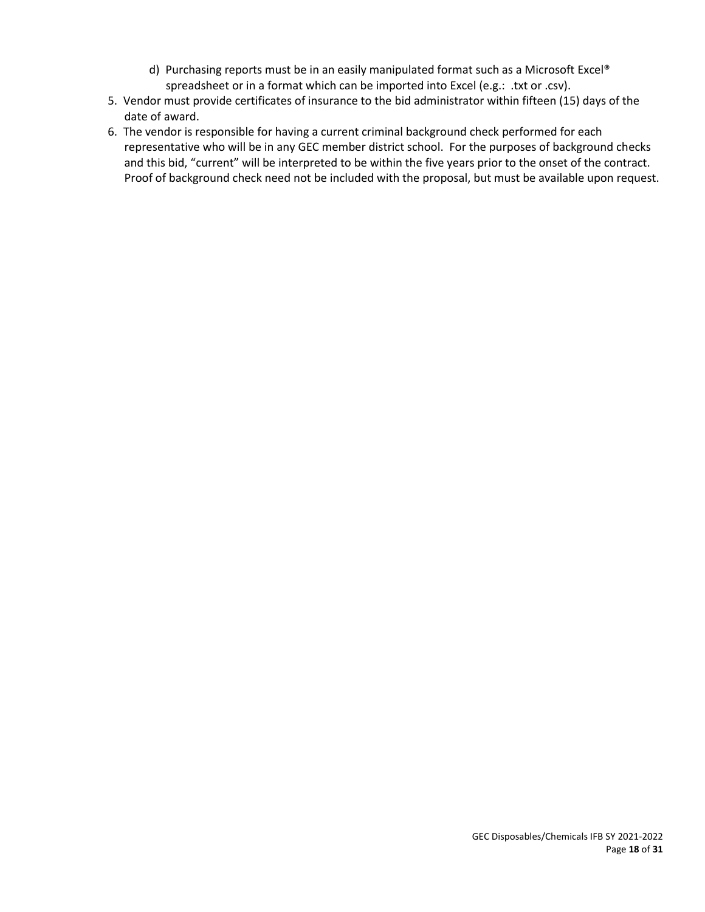- d) Purchasing reports must be in an easily manipulated format such as a Microsoft Excel® spreadsheet or in a format which can be imported into Excel (e.g.: .txt or .csv).
- 5. Vendor must provide certificates of insurance to the bid administrator within fifteen (15) days of the date of award.
- 6. The vendor is responsible for having a current criminal background check performed for each representative who will be in any GEC member district school. For the purposes of background checks and this bid, "current" will be interpreted to be within the five years prior to the onset of the contract. Proof of background check need not be included with the proposal, but must be available upon request.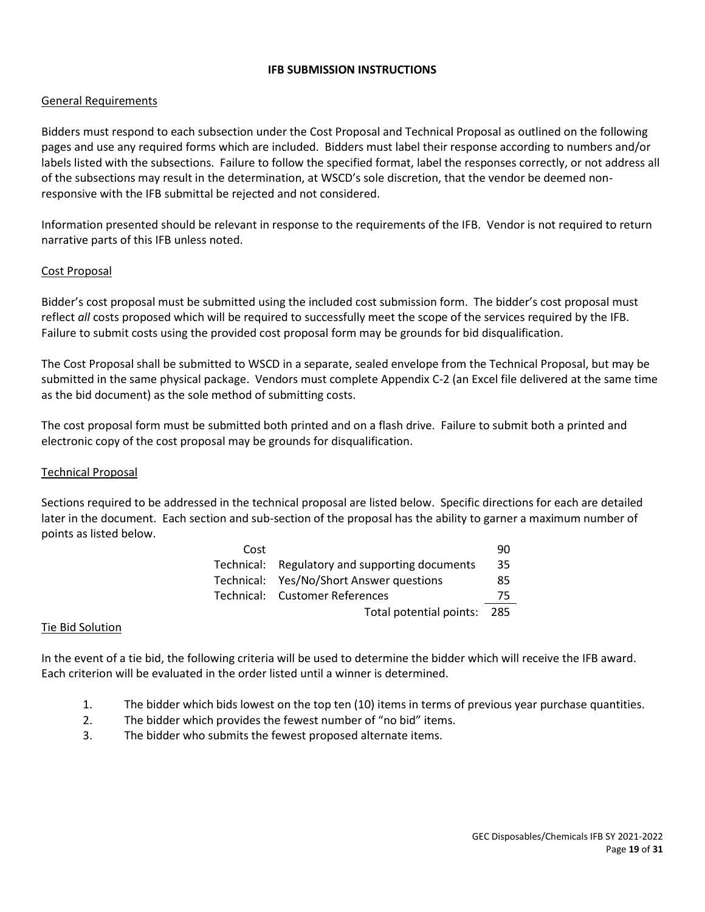## **IFB SUBMISSION INSTRUCTIONS**

## General Requirements

Bidders must respond to each subsection under the Cost Proposal and Technical Proposal as outlined on the following pages and use any required forms which are included. Bidders must label their response according to numbers and/or labels listed with the subsections. Failure to follow the specified format, label the responses correctly, or not address all of the subsections may result in the determination, at WSCD's sole discretion, that the vendor be deemed nonresponsive with the IFB submittal be rejected and not considered.

Information presented should be relevant in response to the requirements of the IFB. Vendor is not required to return narrative parts of this IFB unless noted.

#### Cost Proposal

Bidder's cost proposal must be submitted using the included cost submission form. The bidder's cost proposal must reflect *all* costs proposed which will be required to successfully meet the scope of the services required by the IFB. Failure to submit costs using the provided cost proposal form may be grounds for bid disqualification.

The Cost Proposal shall be submitted to WSCD in a separate, sealed envelope from the Technical Proposal, but may be submitted in the same physical package. Vendors must complete Appendix C-2 (an Excel file delivered at the same time as the bid document) as the sole method of submitting costs.

The cost proposal form must be submitted both printed and on a flash drive. Failure to submit both a printed and electronic copy of the cost proposal may be grounds for disqualification.

## Technical Proposal

Sections required to be addressed in the technical proposal are listed below. Specific directions for each are detailed later in the document. Each section and sub-section of the proposal has the ability to garner a maximum number of points as listed below.

| Cost |                                                | 90 |  |
|------|------------------------------------------------|----|--|
|      | Technical: Regulatory and supporting documents | 35 |  |
|      | Technical: Yes/No/Short Answer questions       | 85 |  |
|      | Technical: Customer References                 | 75 |  |
|      | Total potential points: 285                    |    |  |

#### Tie Bid Solution

In the event of a tie bid, the following criteria will be used to determine the bidder which will receive the IFB award. Each criterion will be evaluated in the order listed until a winner is determined.

- 1. The bidder which bids lowest on the top ten (10) items in terms of previous year purchase quantities.
- 2. The bidder which provides the fewest number of "no bid" items.
- 3. The bidder who submits the fewest proposed alternate items.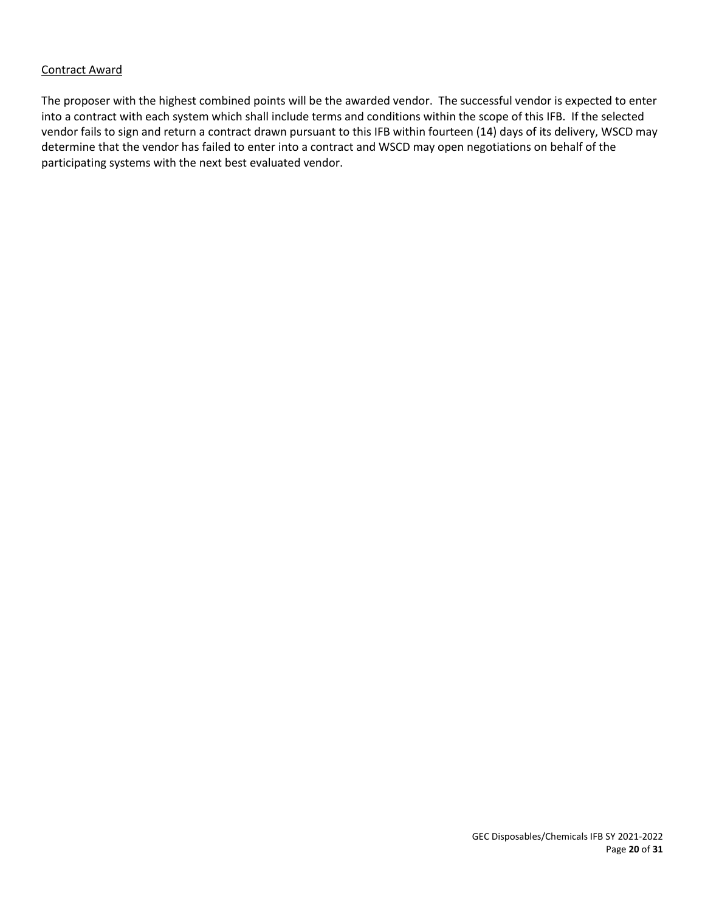## Contract Award

The proposer with the highest combined points will be the awarded vendor. The successful vendor is expected to enter into a contract with each system which shall include terms and conditions within the scope of this IFB. If the selected vendor fails to sign and return a contract drawn pursuant to this IFB within fourteen (14) days of its delivery, WSCD may determine that the vendor has failed to enter into a contract and WSCD may open negotiations on behalf of the participating systems with the next best evaluated vendor.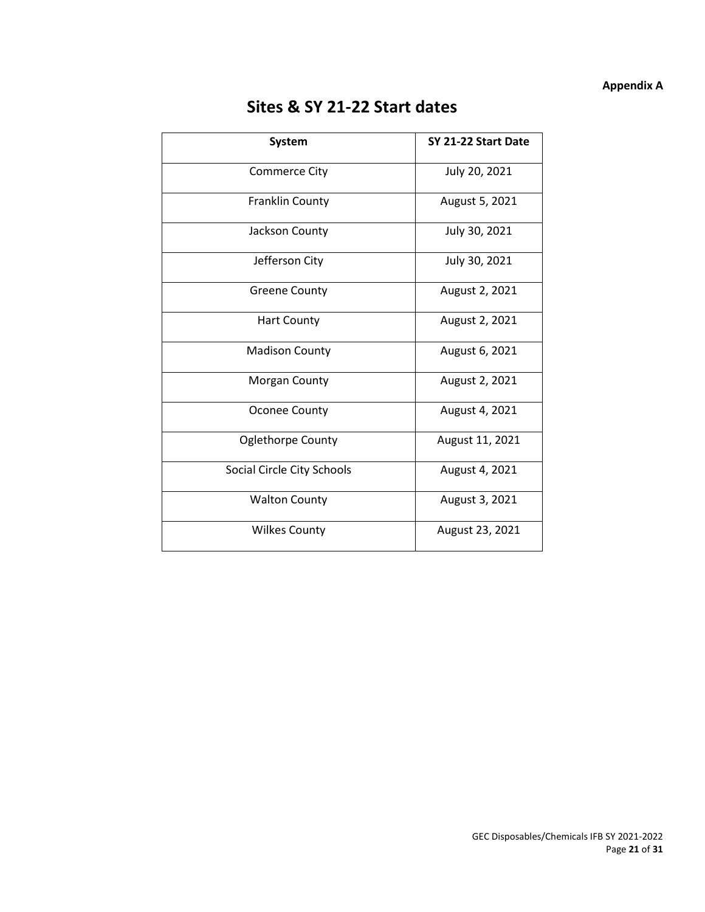## **Appendix A**

# **Sites & SY 21-22 Start dates**

| <b>System</b>              | SY 21-22 Start Date |
|----------------------------|---------------------|
| <b>Commerce City</b>       | July 20, 2021       |
| <b>Franklin County</b>     | August 5, 2021      |
| Jackson County             | July 30, 2021       |
| Jefferson City             | July 30, 2021       |
| <b>Greene County</b>       | August 2, 2021      |
| <b>Hart County</b>         | August 2, 2021      |
| <b>Madison County</b>      | August 6, 2021      |
| <b>Morgan County</b>       | August 2, 2021      |
| <b>Oconee County</b>       | August 4, 2021      |
| <b>Oglethorpe County</b>   | August 11, 2021     |
| Social Circle City Schools | August 4, 2021      |
| <b>Walton County</b>       | August 3, 2021      |
| <b>Wilkes County</b>       | August 23, 2021     |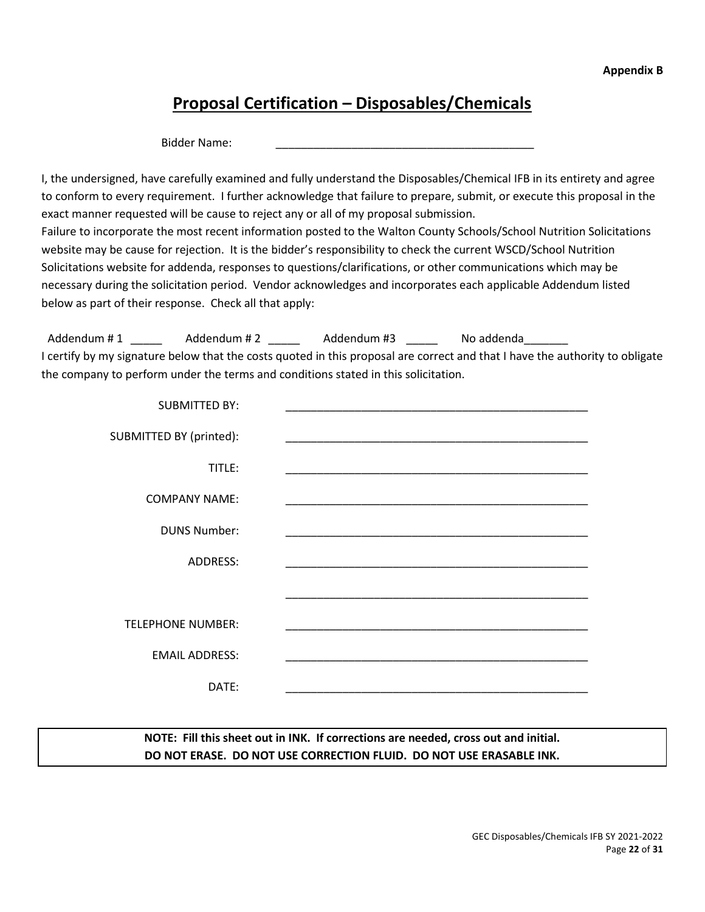# **Proposal Certification – Disposables/Chemicals**

Bidder Name:

I, the undersigned, have carefully examined and fully understand the Disposables/Chemical IFB in its entirety and agree to conform to every requirement. I further acknowledge that failure to prepare, submit, or execute this proposal in the exact manner requested will be cause to reject any or all of my proposal submission. Failure to incorporate the most recent information posted to the Walton County Schools/School Nutrition Solicitations website may be cause for rejection. It is the bidder's responsibility to check the current WSCD/School Nutrition Solicitations website for addenda, responses to questions/clarifications, or other communications which may be necessary during the solicitation period. Vendor acknowledges and incorporates each applicable Addendum listed below as part of their response. Check all that apply:

Addendum # 1 \_\_\_\_\_\_\_\_\_ Addendum # 2 \_\_\_\_\_\_\_\_ Addendum #3 \_\_\_\_\_\_\_\_ No addenda I certify by my signature below that the costs quoted in this proposal are correct and that I have the authority to obligate the company to perform under the terms and conditions stated in this solicitation.

| <b>SUBMITTED BY:</b>     |  |
|--------------------------|--|
| SUBMITTED BY (printed):  |  |
| TITLE:                   |  |
| <b>COMPANY NAME:</b>     |  |
| <b>DUNS Number:</b>      |  |
| <b>ADDRESS:</b>          |  |
|                          |  |
| <b>TELEPHONE NUMBER:</b> |  |
| <b>EMAIL ADDRESS:</b>    |  |
| DATE:                    |  |

**NOTE: Fill this sheet out in INK. If corrections are needed, cross out and initial. DO NOT ERASE. DO NOT USE CORRECTION FLUID. DO NOT USE ERASABLE INK.**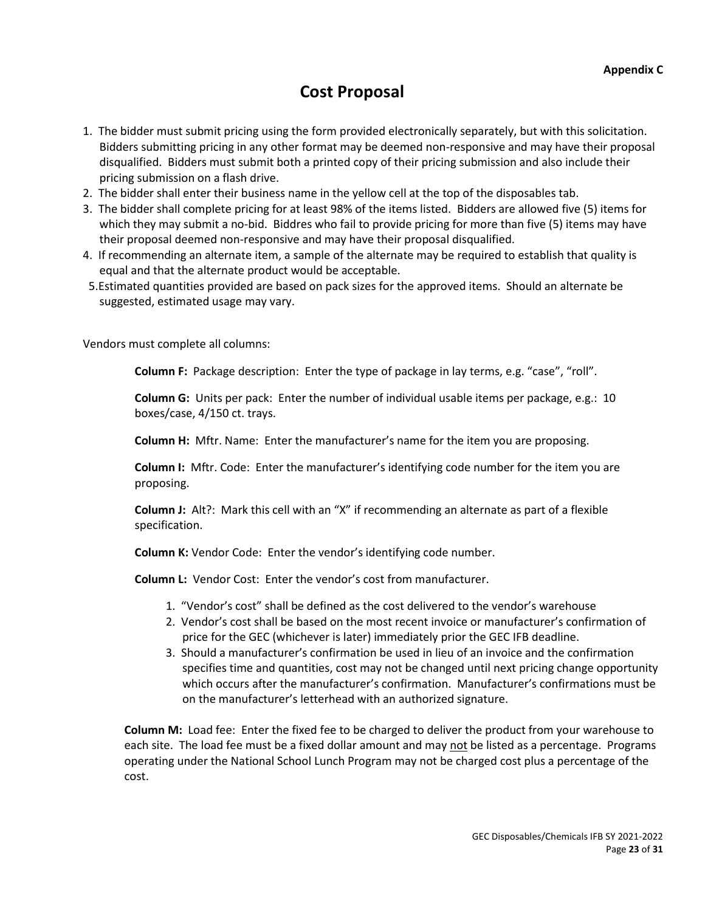## **Cost Proposal**

- 1. The bidder must submit pricing using the form provided electronically separately, but with this solicitation. Bidders submitting pricing in any other format may be deemed non-responsive and may have their proposal disqualified. Bidders must submit both a printed copy of their pricing submission and also include their pricing submission on a flash drive.
- 2. The bidder shall enter their business name in the yellow cell at the top of the disposables tab.
- 3. The bidder shall complete pricing for at least 98% of the items listed. Bidders are allowed five (5) items for which they may submit a no-bid. Biddres who fail to provide pricing for more than five (5) items may have their proposal deemed non-responsive and may have their proposal disqualified.
- 4. If recommending an alternate item, a sample of the alternate may be required to establish that quality is equal and that the alternate product would be acceptable.
- 5.Estimated quantities provided are based on pack sizes for the approved items. Should an alternate be suggested, estimated usage may vary.

Vendors must complete all columns:

**Column F:** Package description: Enter the type of package in lay terms, e.g. "case", "roll".

**Column G:** Units per pack: Enter the number of individual usable items per package, e.g.: 10 boxes/case, 4/150 ct. trays.

**Column H:** Mftr. Name: Enter the manufacturer's name for the item you are proposing.

**Column I:** Mftr. Code: Enter the manufacturer's identifying code number for the item you are proposing.

**Column J:** Alt?: Mark this cell with an "X" if recommending an alternate as part of a flexible specification.

**Column K:** Vendor Code: Enter the vendor's identifying code number.

**Column L:** Vendor Cost: Enter the vendor's cost from manufacturer.

- 1. "Vendor's cost" shall be defined as the cost delivered to the vendor's warehouse
- 2. Vendor's cost shall be based on the most recent invoice or manufacturer's confirmation of price for the GEC (whichever is later) immediately prior the GEC IFB deadline.
- 3. Should a manufacturer's confirmation be used in lieu of an invoice and the confirmation specifies time and quantities, cost may not be changed until next pricing change opportunity which occurs after the manufacturer's confirmation. Manufacturer's confirmations must be on the manufacturer's letterhead with an authorized signature.

**Column M:** Load fee: Enter the fixed fee to be charged to deliver the product from your warehouse to each site. The load fee must be a fixed dollar amount and may not be listed as a percentage. Programs operating under the National School Lunch Program may not be charged cost plus a percentage of the cost.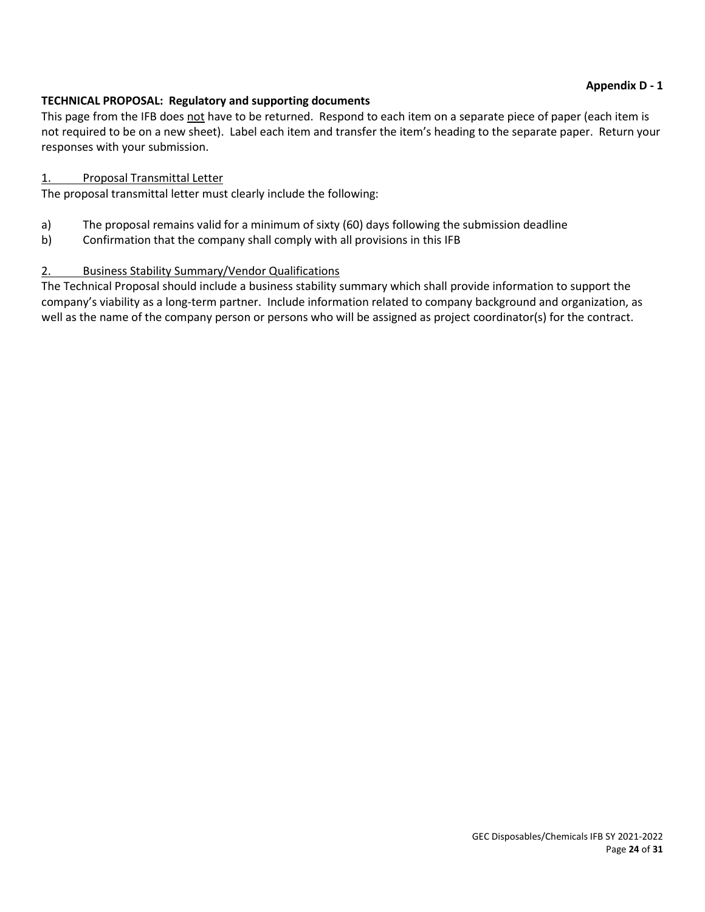## **TECHNICAL PROPOSAL: Regulatory and supporting documents**

This page from the IFB does not have to be returned. Respond to each item on a separate piece of paper (each item is not required to be on a new sheet). Label each item and transfer the item's heading to the separate paper. Return your responses with your submission.

## 1. Proposal Transmittal Letter

The proposal transmittal letter must clearly include the following:

- a) The proposal remains valid for a minimum of sixty (60) days following the submission deadline
- b) Confirmation that the company shall comply with all provisions in this IFB

## 2. Business Stability Summary/Vendor Qualifications

The Technical Proposal should include a business stability summary which shall provide information to support the company's viability as a long-term partner. Include information related to company background and organization, as well as the name of the company person or persons who will be assigned as project coordinator(s) for the contract.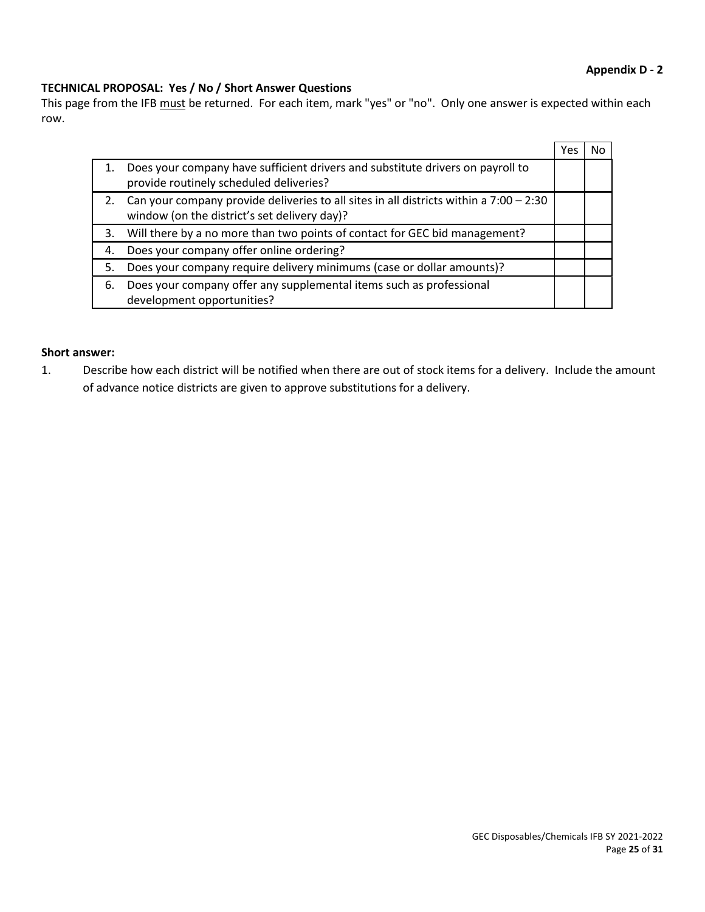## **Appendix D - 2**

## **TECHNICAL PROPOSAL: Yes / No / Short Answer Questions**

This page from the IFB must be returned. For each item, mark "yes" or "no". Only one answer is expected within each row.

|    |                                                                                                                                          | Yes |  |
|----|------------------------------------------------------------------------------------------------------------------------------------------|-----|--|
|    | Does your company have sufficient drivers and substitute drivers on payroll to<br>provide routinely scheduled deliveries?                |     |  |
|    | Can your company provide deliveries to all sites in all districts within a $7:00 - 2:30$<br>window (on the district's set delivery day)? |     |  |
| 3. | Will there by a no more than two points of contact for GEC bid management?                                                               |     |  |
| 4. | Does your company offer online ordering?                                                                                                 |     |  |
| 5. | Does your company require delivery minimums (case or dollar amounts)?                                                                    |     |  |
| 6. | Does your company offer any supplemental items such as professional<br>development opportunities?                                        |     |  |

### **Short answer:**

1. Describe how each district will be notified when there are out of stock items for a delivery. Include the amount of advance notice districts are given to approve substitutions for a delivery.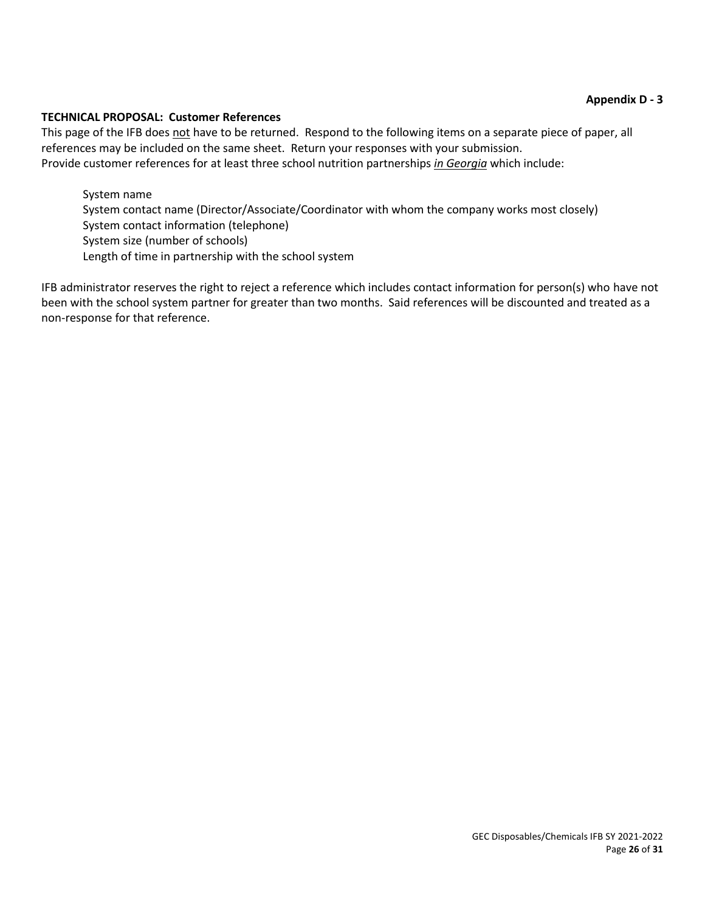## **TECHNICAL PROPOSAL: Customer References**

This page of the IFB does not have to be returned. Respond to the following items on a separate piece of paper, all references may be included on the same sheet. Return your responses with your submission. Provide customer references for at least three school nutrition partnerships *in Georgia* which include:

System name System contact name (Director/Associate/Coordinator with whom the company works most closely) System contact information (telephone) System size (number of schools) Length of time in partnership with the school system

IFB administrator reserves the right to reject a reference which includes contact information for person(s) who have not been with the school system partner for greater than two months. Said references will be discounted and treated as a non-response for that reference.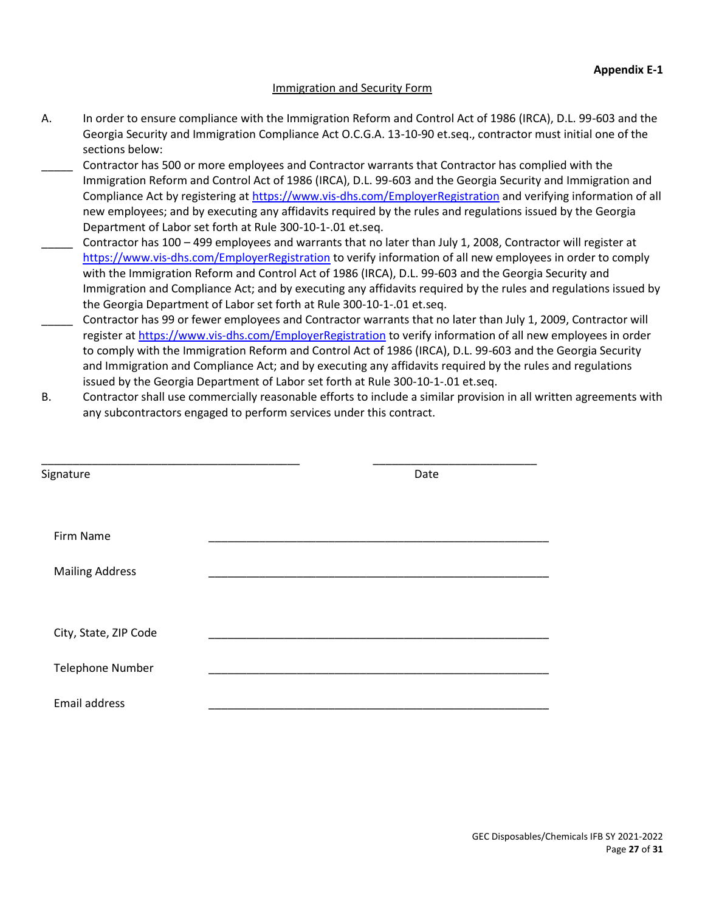## Immigration and Security Form

- A. In order to ensure compliance with the Immigration Reform and Control Act of 1986 (IRCA), D.L. 99-603 and the Georgia Security and Immigration Compliance Act O.C.G.A. 13-10-90 et.seq., contractor must initial one of the sections below:
- Contractor has 500 or more employees and Contractor warrants that Contractor has complied with the Immigration Reform and Control Act of 1986 (IRCA), D.L. 99-603 and the Georgia Security and Immigration and Compliance Act by registering at<https://www.vis-dhs.com/EmployerRegistration> and verifying information of all new employees; and by executing any affidavits required by the rules and regulations issued by the Georgia Department of Labor set forth at Rule 300-10-1-.01 et.seq.
- \_\_\_\_\_ Contractor has 100 499 employees and warrants that no later than July 1, 2008, Contractor will register at <https://www.vis-dhs.com/EmployerRegistration> to verify information of all new employees in order to comply with the Immigration Reform and Control Act of 1986 (IRCA), D.L. 99-603 and the Georgia Security and Immigration and Compliance Act; and by executing any affidavits required by the rules and regulations issued by the Georgia Department of Labor set forth at Rule 300-10-1-.01 et.seq.
- \_\_\_\_\_ Contractor has 99 or fewer employees and Contractor warrants that no later than July 1, 2009, Contractor will register at<https://www.vis-dhs.com/EmployerRegistration> to verify information of all new employees in order to comply with the Immigration Reform and Control Act of 1986 (IRCA), D.L. 99-603 and the Georgia Security and Immigration and Compliance Act; and by executing any affidavits required by the rules and regulations issued by the Georgia Department of Labor set forth at Rule 300-10-1-.01 et.seq.
- B. Contractor shall use commercially reasonable efforts to include a similar provision in all written agreements with any subcontractors engaged to perform services under this contract.

| Signature               | Date |  |
|-------------------------|------|--|
| Firm Name               |      |  |
| <b>Mailing Address</b>  |      |  |
| City, State, ZIP Code   |      |  |
| <b>Telephone Number</b> |      |  |
| Email address           |      |  |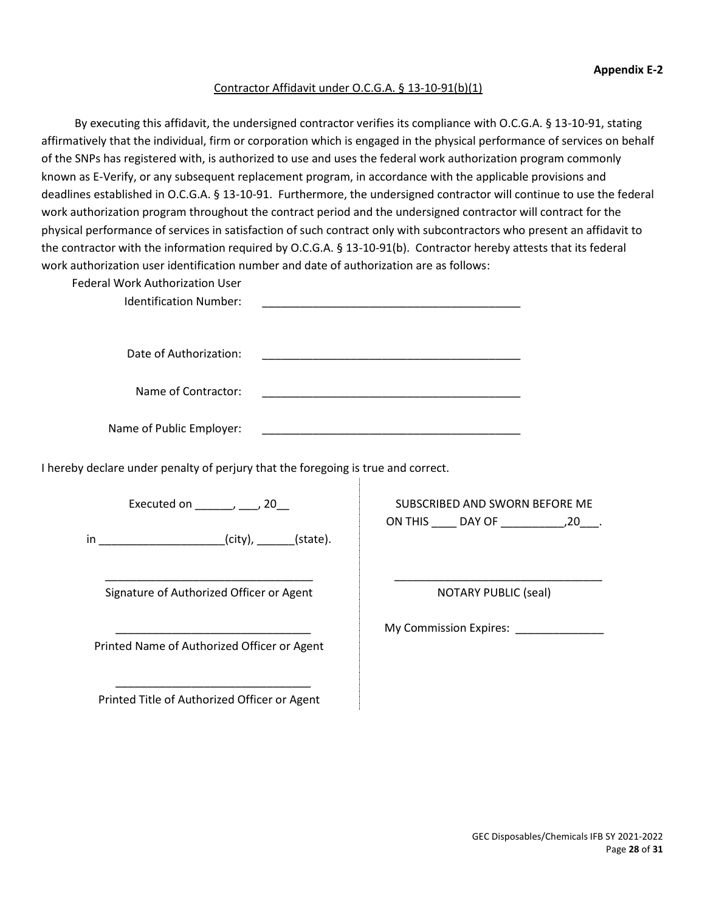### Contractor Affidavit under O.C.G.A. § 13-10-91(b)(1)

By executing this affidavit, the undersigned contractor verifies its compliance with O.C.G.A. § 13-10-91, stating affirmatively that the individual, firm or corporation which is engaged in the physical performance of services on behalf of the SNPs has registered with, is authorized to use and uses the federal work authorization program commonly known as E-Verify, or any subsequent replacement program, in accordance with the applicable provisions and deadlines established in O.C.G.A. § 13-10-91. Furthermore, the undersigned contractor will continue to use the federal work authorization program throughout the contract period and the undersigned contractor will contract for the physical performance of services in satisfaction of such contract only with subcontractors who present an affidavit to the contractor with the information required by O.C.G.A. § 13-10-91(b). Contractor hereby attests that its federal work authorization user identification number and date of authorization are as follows:

| <b>Federal Work Authorization User</b><br><b>Identification Number:</b>           |                                                                                                                      |
|-----------------------------------------------------------------------------------|----------------------------------------------------------------------------------------------------------------------|
| Date of Authorization:                                                            | <u> 1989 - Johann John Stone, markin film fan it ferskearre fan it ferskearre fan it ferskearre fan it ferskearr</u> |
| Name of Contractor:                                                               |                                                                                                                      |
| Name of Public Employer:                                                          |                                                                                                                      |
| I hereby declare under penalty of perjury that the foregoing is true and correct. |                                                                                                                      |
| Executed on $\_\_\_\_\_\_\$ , 20                                                  | SUBSCRIBED AND SWORN BEFORE ME                                                                                       |
| in ______________________(city), ______(state).                                   |                                                                                                                      |
| Signature of Authorized Officer or Agent                                          | <b>NOTARY PUBLIC (seal)</b>                                                                                          |
| Printed Name of Authorized Officer or Agent                                       | My Commission Expires: ________                                                                                      |
| Printed Title of Authorized Officer or Agent                                      |                                                                                                                      |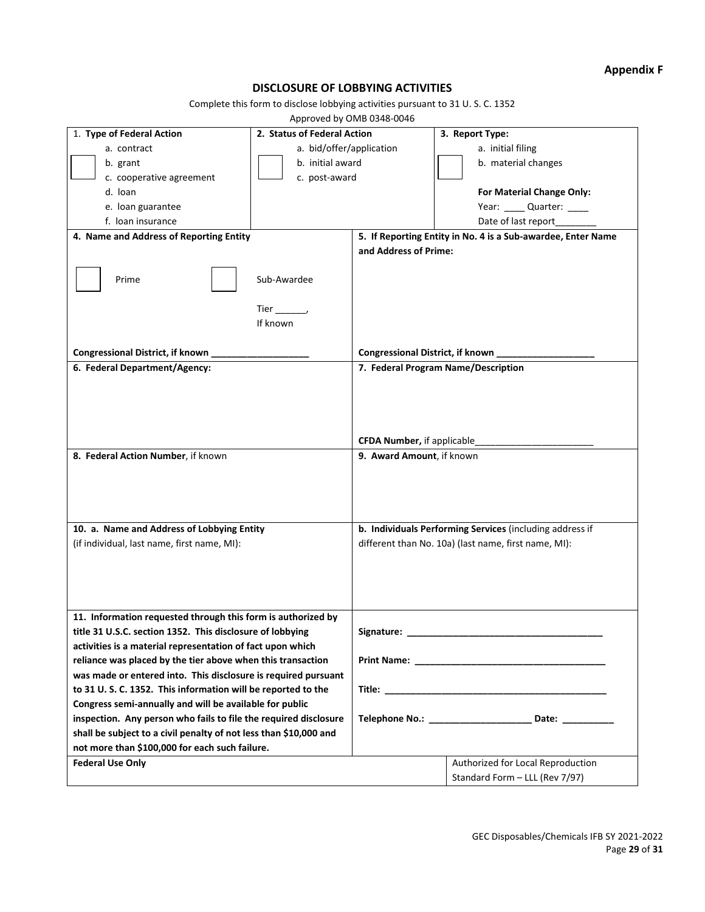## **Appendix F**

## **DISCLOSURE OF LOBBYING ACTIVITIES**

Complete this form to disclose lobbying activities pursuant to 31 U. S. C. 1352

Approved by OMB 0348-0046

|                                                                   | Apployed by ONID 0340 0040  |                                    |                                                              |
|-------------------------------------------------------------------|-----------------------------|------------------------------------|--------------------------------------------------------------|
| 1. Type of Federal Action                                         | 2. Status of Federal Action |                                    | 3. Report Type:                                              |
| a. contract                                                       | a. bid/offer/application    |                                    | a. initial filing                                            |
| b. grant                                                          | b. initial award            |                                    | b. material changes                                          |
| c. cooperative agreement                                          | c. post-award               |                                    |                                                              |
| d. loan                                                           |                             |                                    | For Material Change Only:                                    |
|                                                                   |                             |                                    |                                                              |
| e. Ioan guarantee                                                 |                             |                                    | Year: Quarter: ____                                          |
| f. Ioan insurance                                                 |                             |                                    | Date of last report_________                                 |
| 4. Name and Address of Reporting Entity                           |                             |                                    | 5. If Reporting Entity in No. 4 is a Sub-awardee, Enter Name |
|                                                                   |                             | and Address of Prime:              |                                                              |
| Prime                                                             | Sub-Awardee                 |                                    |                                                              |
|                                                                   | Tier,                       |                                    |                                                              |
|                                                                   | If known                    |                                    |                                                              |
|                                                                   |                             |                                    |                                                              |
| Congressional District, if known                                  |                             | Congressional District, if known _ |                                                              |
| 6. Federal Department/Agency:                                     |                             |                                    | 7. Federal Program Name/Description                          |
|                                                                   |                             |                                    |                                                              |
|                                                                   |                             | CFDA Number, if applicable         |                                                              |
| 8. Federal Action Number, if known                                |                             | 9. Award Amount, if known          |                                                              |
|                                                                   |                             |                                    |                                                              |
| 10. a. Name and Address of Lobbying Entity                        |                             |                                    | b. Individuals Performing Services (including address if     |
| (if individual, last name, first name, MI):                       |                             |                                    | different than No. 10a) (last name, first name, MI):         |
| 11. Information requested through this form is authorized by      |                             |                                    |                                                              |
| title 31 U.S.C. section 1352. This disclosure of lobbying         |                             | Signature:                         |                                                              |
| activities is a material representation of fact upon which        |                             |                                    |                                                              |
| reliance was placed by the tier above when this transaction       |                             |                                    |                                                              |
|                                                                   |                             |                                    |                                                              |
| was made or entered into. This disclosure is required pursuant    |                             |                                    |                                                              |
| to 31 U.S.C. 1352. This information will be reported to the       |                             |                                    |                                                              |
| Congress semi-annually and will be available for public           |                             |                                    |                                                              |
| inspection. Any person who fails to file the required disclosure  |                             |                                    | Telephone No.: __________________________ Date: ____________ |
| shall be subject to a civil penalty of not less than \$10,000 and |                             |                                    |                                                              |
| not more than \$100,000 for each such failure.                    |                             |                                    |                                                              |
| <b>Federal Use Only</b>                                           |                             |                                    | Authorized for Local Reproduction                            |
|                                                                   |                             |                                    | Standard Form - LLL (Rev 7/97)                               |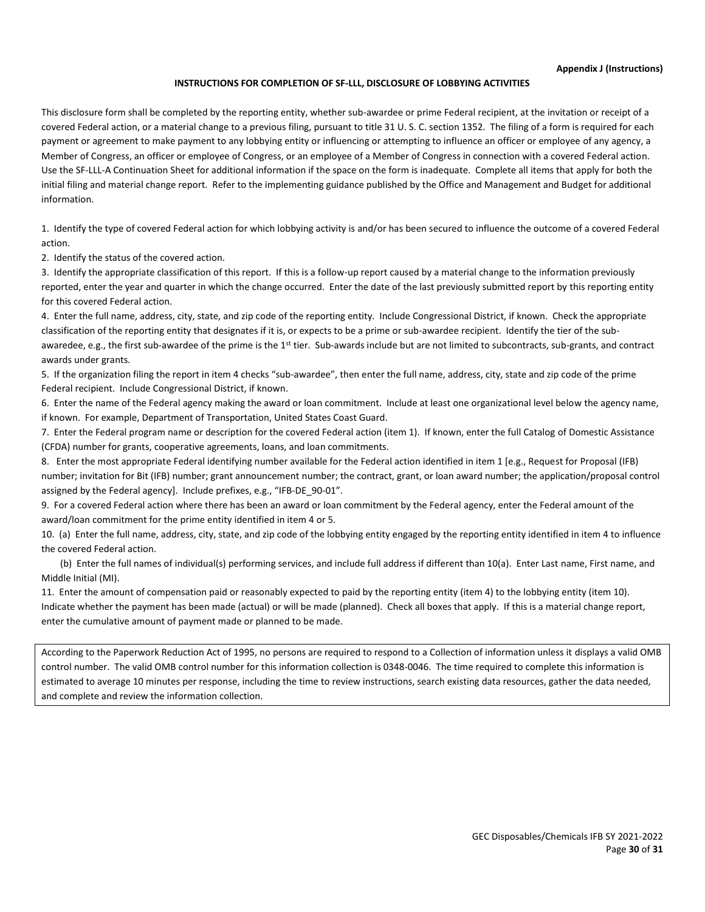#### **Appendix J (Instructions)**

#### **INSTRUCTIONS FOR COMPLETION OF SF-LLL, DISCLOSURE OF LOBBYING ACTIVITIES**

This disclosure form shall be completed by the reporting entity, whether sub-awardee or prime Federal recipient, at the invitation or receipt of a covered Federal action, or a material change to a previous filing, pursuant to title 31 U. S. C. section 1352. The filing of a form is required for each payment or agreement to make payment to any lobbying entity or influencing or attempting to influence an officer or employee of any agency, a Member of Congress, an officer or employee of Congress, or an employee of a Member of Congress in connection with a covered Federal action. Use the SF-LLL-A Continuation Sheet for additional information if the space on the form is inadequate. Complete all items that apply for both the initial filing and material change report. Refer to the implementing guidance published by the Office and Management and Budget for additional information.

1. Identify the type of covered Federal action for which lobbying activity is and/or has been secured to influence the outcome of a covered Federal action.

2. Identify the status of the covered action.

3. Identify the appropriate classification of this report. If this is a follow-up report caused by a material change to the information previously reported, enter the year and quarter in which the change occurred. Enter the date of the last previously submitted report by this reporting entity for this covered Federal action.

4. Enter the full name, address, city, state, and zip code of the reporting entity. Include Congressional District, if known. Check the appropriate classification of the reporting entity that designates if it is, or expects to be a prime or sub-awardee recipient. Identify the tier of the subawaredee, e.g., the first sub-awardee of the prime is the 1<sup>st</sup> tier. Sub-awards include but are not limited to subcontracts, sub-grants, and contract awards under grants.

5. If the organization filing the report in item 4 checks "sub-awardee", then enter the full name, address, city, state and zip code of the prime Federal recipient. Include Congressional District, if known.

6. Enter the name of the Federal agency making the award or loan commitment. Include at least one organizational level below the agency name, if known. For example, Department of Transportation, United States Coast Guard.

7. Enter the Federal program name or description for the covered Federal action (item 1). If known, enter the full Catalog of Domestic Assistance (CFDA) number for grants, cooperative agreements, loans, and loan commitments.

8. Enter the most appropriate Federal identifying number available for the Federal action identified in item 1 [e.g., Request for Proposal (IFB) number; invitation for Bit (IFB) number; grant announcement number; the contract, grant, or loan award number; the application/proposal control assigned by the Federal agency]. Include prefixes, e.g., "IFB-DE\_90-01".

9. For a covered Federal action where there has been an award or loan commitment by the Federal agency, enter the Federal amount of the award/loan commitment for the prime entity identified in item 4 or 5.

10. (a) Enter the full name, address, city, state, and zip code of the lobbying entity engaged by the reporting entity identified in item 4 to influence the covered Federal action.

 (b) Enter the full names of individual(s) performing services, and include full address if different than 10(a). Enter Last name, First name, and Middle Initial (MI).

11. Enter the amount of compensation paid or reasonably expected to paid by the reporting entity (item 4) to the lobbying entity (item 10). Indicate whether the payment has been made (actual) or will be made (planned). Check all boxes that apply. If this is a material change report, enter the cumulative amount of payment made or planned to be made.

According to the Paperwork Reduction Act of 1995, no persons are required to respond to a Collection of information unless it displays a valid OMB control number. The valid OMB control number for this information collection is 0348-0046. The time required to complete this information is estimated to average 10 minutes per response, including the time to review instructions, search existing data resources, gather the data needed, and complete and review the information collection.